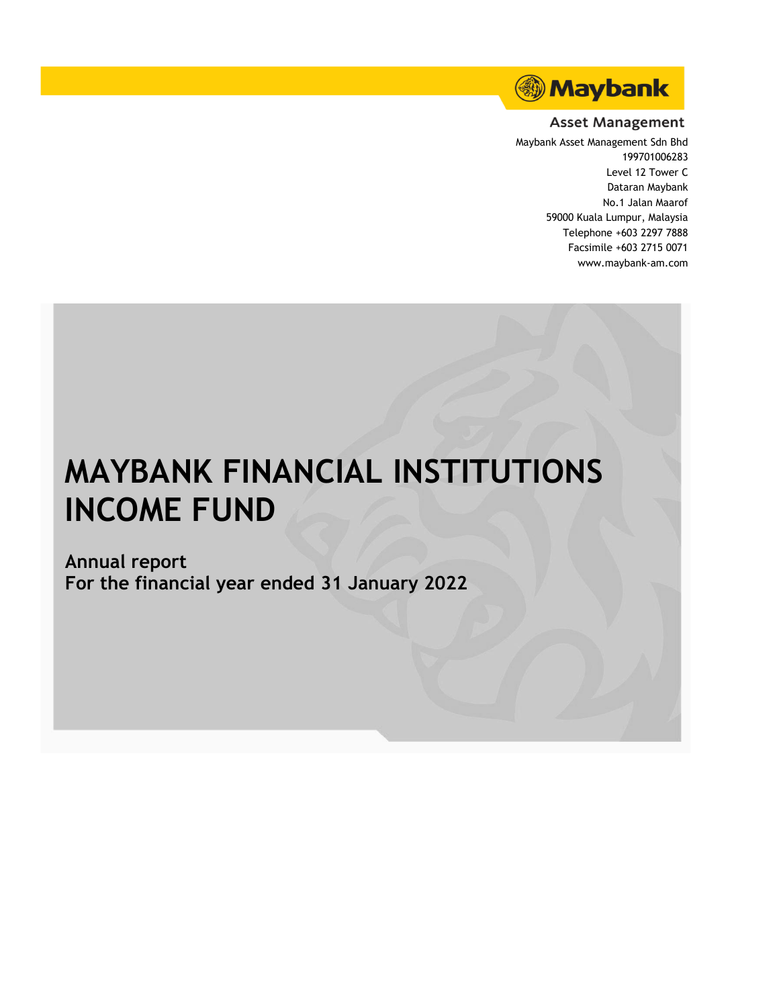

#### **Asset Management**

Maybank Asset Management Sdn Bhd 199701006283 Level 12 Tower C Dataran Maybank No.1 Jalan Maarof 59000 Kuala Lumpur, Malaysia Telephone +603 2297 7888 Facsimile +603 2715 0071 www.maybank-am.com

# **MAYBANK FINANCIAL INSTITUTIONS INCOME FUND**

**Annual report For the financial year ended 31 January 2022**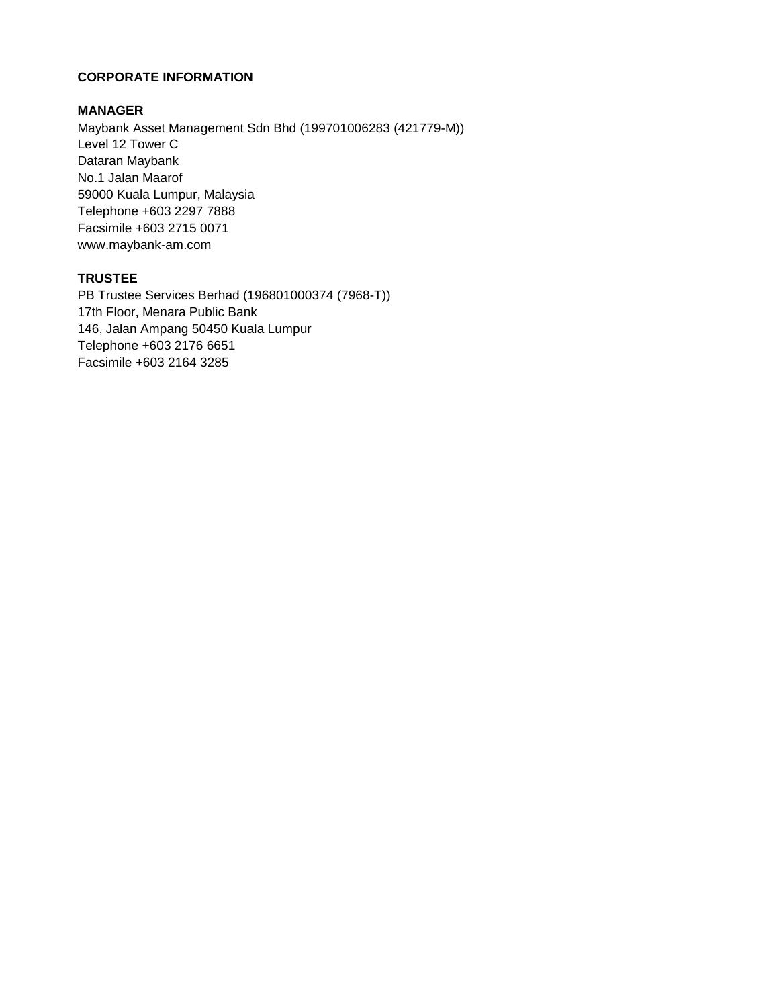#### **CORPORATE INFORMATION**

#### **MANAGER**

Level 12 Tower C Dataran Maybank No.1 Jalan Maarof 59000 Kuala Lumpur, Malaysia Telephone +603 2297 7888 Facsimile +603 2715 0071 www.maybank-am.com Maybank Asset Management Sdn Bhd (199701006283 (421779-M))

#### **TRUSTEE**

PB Trustee Services Berhad (196801000374 (7968-T)) 17th Floor, Menara Public Bank 146, Jalan Ampang 50450 Kuala Lumpur Telephone +603 2176 6651 Facsimile +603 2164 3285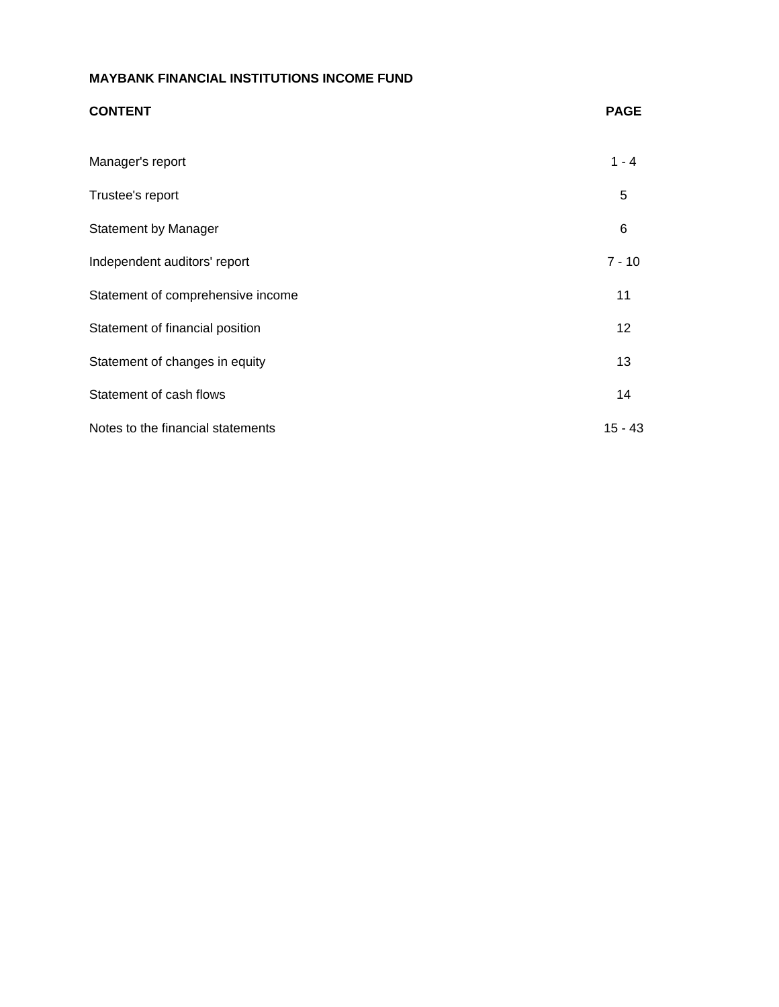| <b>CONTENT</b>                    | <b>PAGE</b> |
|-----------------------------------|-------------|
| Manager's report                  | $1 - 4$     |
| Trustee's report                  | 5           |
| <b>Statement by Manager</b>       | 6           |
| Independent auditors' report      | $7 - 10$    |
| Statement of comprehensive income | 11          |
| Statement of financial position   | 12          |
| Statement of changes in equity    | 13          |
| Statement of cash flows           | 14          |
| Notes to the financial statements | $15 - 43$   |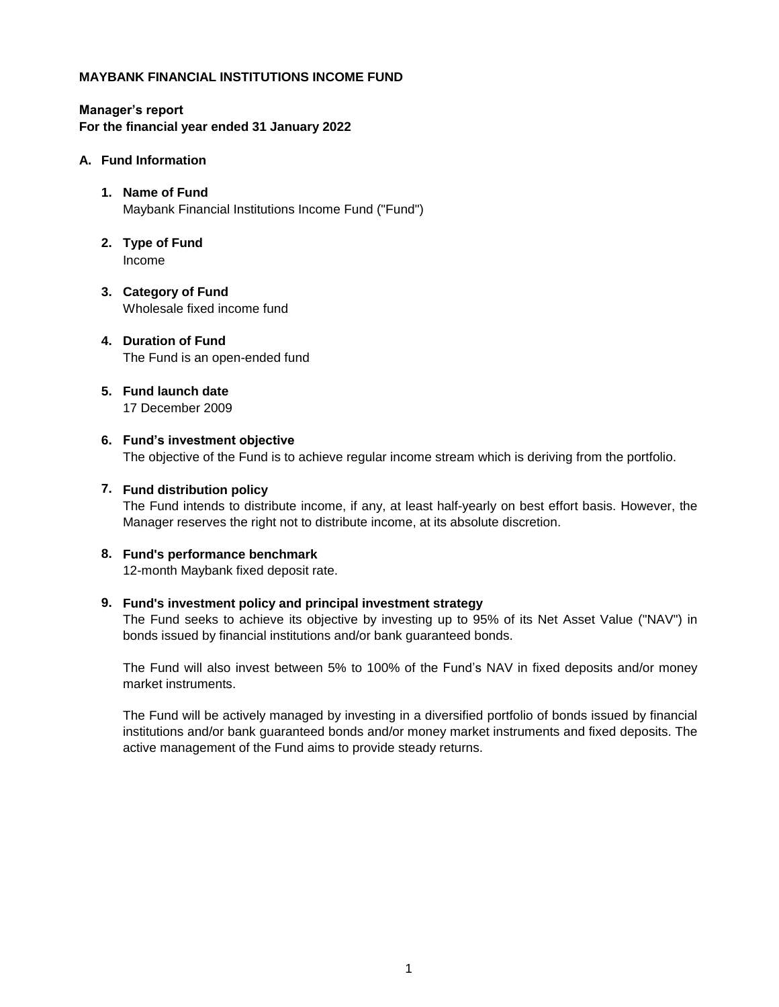**Manager's report For the financial year ended 31 January 2022**

#### **A. Fund Information**

- **1. Name of Fund** Maybank Financial Institutions Income Fund ("Fund")
- **2. Type of Fund** Income
- **3. Category of Fund** Wholesale fixed income fund
- **4. Duration of Fund** The Fund is an open-ended fund
- **5. Fund launch date** 17 December 2009
- **6. Fund's investment objective** The objective of the Fund is to achieve regular income stream which is deriving from the portfolio.

#### **7. Fund distribution policy**

The Fund intends to distribute income, if any, at least half-yearly on best effort basis. However, the Manager reserves the right not to distribute income, at its absolute discretion.

#### **8. Fund's performance benchmark**

12-month Maybank fixed deposit rate.

#### **9. Fund's investment policy and principal investment strategy**

The Fund seeks to achieve its objective by investing up to 95% of its Net Asset Value ("NAV") in bonds issued by financial institutions and/or bank guaranteed bonds.

The Fund will also invest between 5% to 100% of the Fund's NAV in fixed deposits and/or money market instruments.

The Fund will be actively managed by investing in a diversified portfolio of bonds issued by financial institutions and/or bank guaranteed bonds and/or money market instruments and fixed deposits. The active management of the Fund aims to provide steady returns.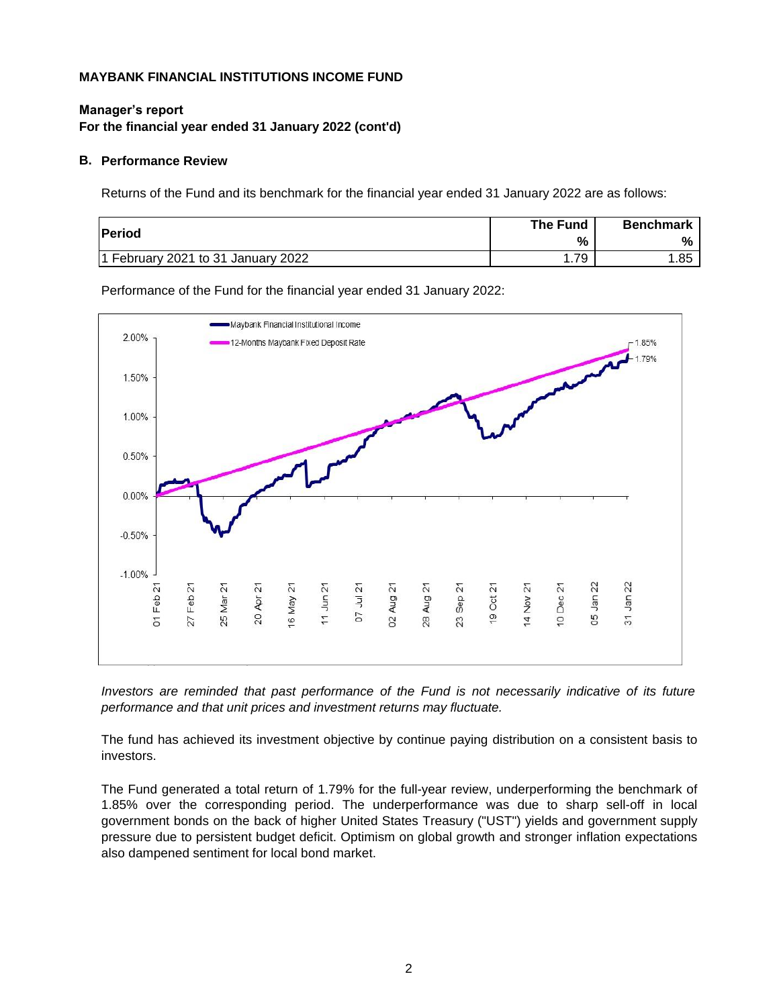#### **Manager's report For the financial year ended 31 January 2022 (cont'd)**

#### **B. Performance Review**

Returns of the Fund and its benchmark for the financial year ended 31 January 2022 are as follows:

| <b>Period</b>                      | The Fund<br>% | <b>Benchmark</b><br>$\frac{6}{2}$ |
|------------------------------------|---------------|-----------------------------------|
| 1 February 2021 to 31 January 2022 | 79            | 1.85                              |

Performance of the Fund for the financial year ended 31 January 2022:



*Investors are reminded that past performance of the Fund is not necessarily indicative of its future performance and that unit prices and investment returns may fluctuate.*

The fund has achieved its investment objective by continue paying distribution on a consistent basis to investors.

The Fund generated a total return of 1.79% for the full-year review, underperforming the benchmark of 1.85% over the corresponding period. The underperformance was due to sharp sell-off in local government bonds on the back of higher United States Treasury ("UST") yields and government supply pressure due to persistent budget deficit. Optimism on global growth and stronger inflation expectations also dampened sentiment for local bond market.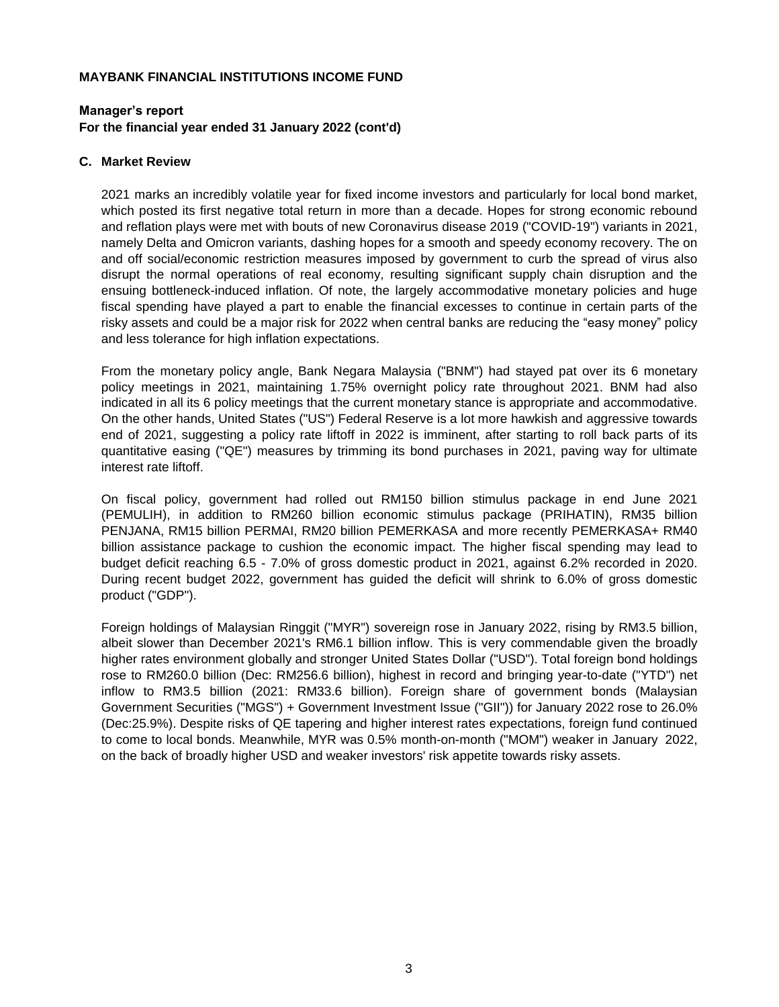#### **Manager's report For the financial year ended 31 January 2022 (cont'd)**

#### **C. Market Review**

2021 marks an incredibly volatile year for fixed income investors and particularly for local bond market, which posted its first negative total return in more than a decade. Hopes for strong economic rebound and reflation plays were met with bouts of new Coronavirus disease 2019 ("COVID-19") variants in 2021, namely Delta and Omicron variants, dashing hopes for a smooth and speedy economy recovery. The on and off social/economic restriction measures imposed by government to curb the spread of virus also disrupt the normal operations of real economy, resulting significant supply chain disruption and the ensuing bottleneck-induced inflation. Of note, the largely accommodative monetary policies and huge fiscal spending have played a part to enable the financial excesses to continue in certain parts of the risky assets and could be a major risk for 2022 when central banks are reducing the "easy money" policy and less tolerance for high inflation expectations.

From the monetary policy angle, Bank Negara Malaysia ("BNM") had stayed pat over its 6 monetary policy meetings in 2021, maintaining 1.75% overnight policy rate throughout 2021. BNM had also indicated in all its 6 policy meetings that the current monetary stance is appropriate and accommodative. On the other hands, United States ("US") Federal Reserve is a lot more hawkish and aggressive towards end of 2021, suggesting a policy rate liftoff in 2022 is imminent, after starting to roll back parts of its quantitative easing ("QE") measures by trimming its bond purchases in 2021, paving way for ultimate interest rate liftoff.

On fiscal policy, government had rolled out RM150 billion stimulus package in end June 2021 (PEMULIH), in addition to RM260 billion economic stimulus package (PRIHATIN), RM35 billion PENJANA, RM15 billion PERMAI, RM20 billion PEMERKASA and more recently PEMERKASA+ RM40 billion assistance package to cushion the economic impact. The higher fiscal spending may lead to budget deficit reaching 6.5 - 7.0% of gross domestic product in 2021, against 6.2% recorded in 2020. During recent budget 2022, government has guided the deficit will shrink to 6.0% of gross domestic product ("GDP").

Foreign holdings of Malaysian Ringgit ("MYR") sovereign rose in January 2022, rising by RM3.5 billion, albeit slower than December 2021's RM6.1 billion inflow. This is very commendable given the broadly higher rates environment globally and stronger United States Dollar ("USD"). Total foreign bond holdings rose to RM260.0 billion (Dec: RM256.6 billion), highest in record and bringing year-to-date ("YTD") net inflow to RM3.5 billion (2021: RM33.6 billion). Foreign share of government bonds (Malaysian Government Securities ("MGS") + Government Investment Issue ("GII")) for January 2022 rose to 26.0% (Dec:25.9%). Despite risks of QE tapering and higher interest rates expectations, foreign fund continued to come to local bonds. Meanwhile, MYR was 0.5% month-on-month ("MOM") weaker in January 2022, on the back of broadly higher USD and weaker investors' risk appetite towards risky assets.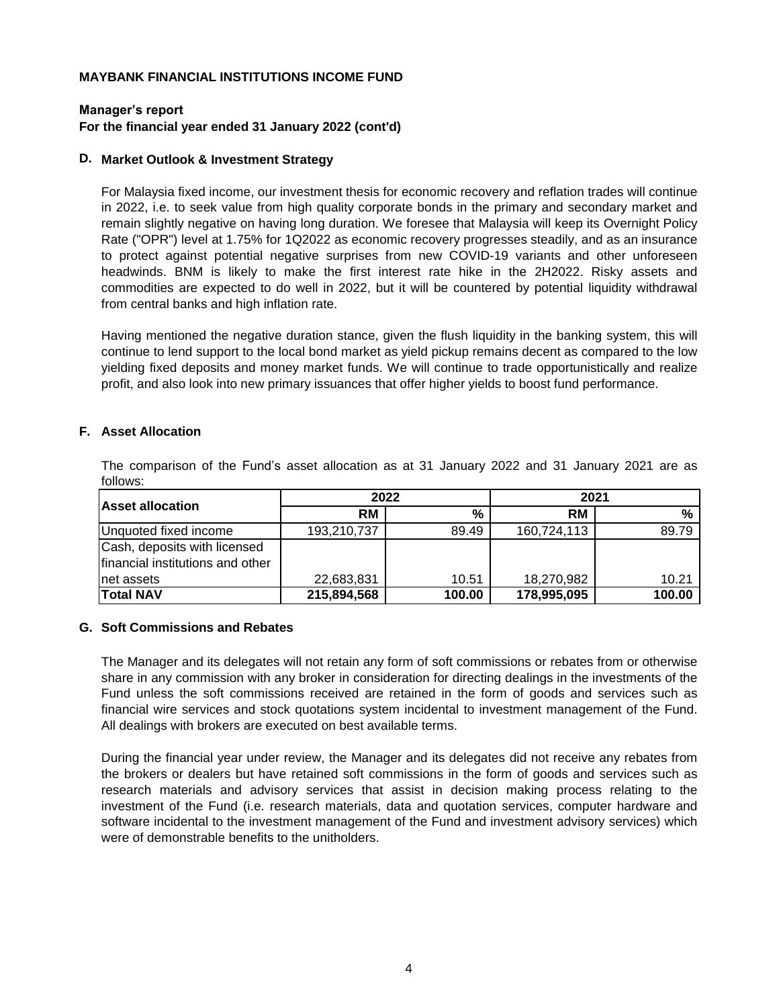#### **Manager's report For the financial year ended 31 January 2022 (cont'd)**

#### **D. Market Outlook & Investment Strategy**

For Malaysia fixed income, our investment thesis for economic recovery and reflation trades will continue in 2022, i.e. to seek value from high quality corporate bonds in the primary and secondary market and remain slightly negative on having long duration. We foresee that Malaysia will keep its Overnight Policy Rate ("OPR") level at 1.75% for 1Q2022 as economic recovery progresses steadily, and as an insurance to protect against potential negative surprises from new COVID-19 variants and other unforeseen headwinds. BNM is likely to make the first interest rate hike in the 2H2022. Risky assets and commodities are expected to do well in 2022, but it will be countered by potential liquidity withdrawal from central banks and high inflation rate.

Having mentioned the negative duration stance, given the flush liquidity in the banking system, this will continue to lend support to the local bond market as yield pickup remains decent as compared to the low yielding fixed deposits and money market funds. We will continue to trade opportunistically and realize profit, and also look into new primary issuances that offer higher yields to boost fund performance.

#### **F. Asset Allocation**

|                                                                  | 2022        |        | 2021        |        |
|------------------------------------------------------------------|-------------|--------|-------------|--------|
| <b>Asset allocation</b>                                          | <b>RM</b>   | $\%$   | RM          | $\%$   |
| Unquoted fixed income                                            | 193,210,737 | 89.49  | 160,724,113 | 89.79  |
| Cash, deposits with licensed<br>financial institutions and other |             |        |             |        |
| net assets                                                       | 22,683,831  | 10.51  | 18,270,982  | 10.21  |
| <b>Total NAV</b>                                                 | 215,894,568 | 100.00 | 178,995,095 | 100.00 |

The comparison of the Fund's asset allocation as at 31 January 2022 and 31 January 2021 are as follows:

#### **G. Soft Commissions and Rebates**

The Manager and its delegates will not retain any form of soft commissions or rebates from or otherwise share in any commission with any broker in consideration for directing dealings in the investments of the Fund unless the soft commissions received are retained in the form of goods and services such as financial wire services and stock quotations system incidental to investment management of the Fund. All dealings with brokers are executed on best available terms.

During the financial year under review, the Manager and its delegates did not receive any rebates from the brokers or dealers but have retained soft commissions in the form of goods and services such as research materials and advisory services that assist in decision making process relating to the investment of the Fund (i.e. research materials, data and quotation services, computer hardware and software incidental to the investment management of the Fund and investment advisory services) which were of demonstrable benefits to the unitholders.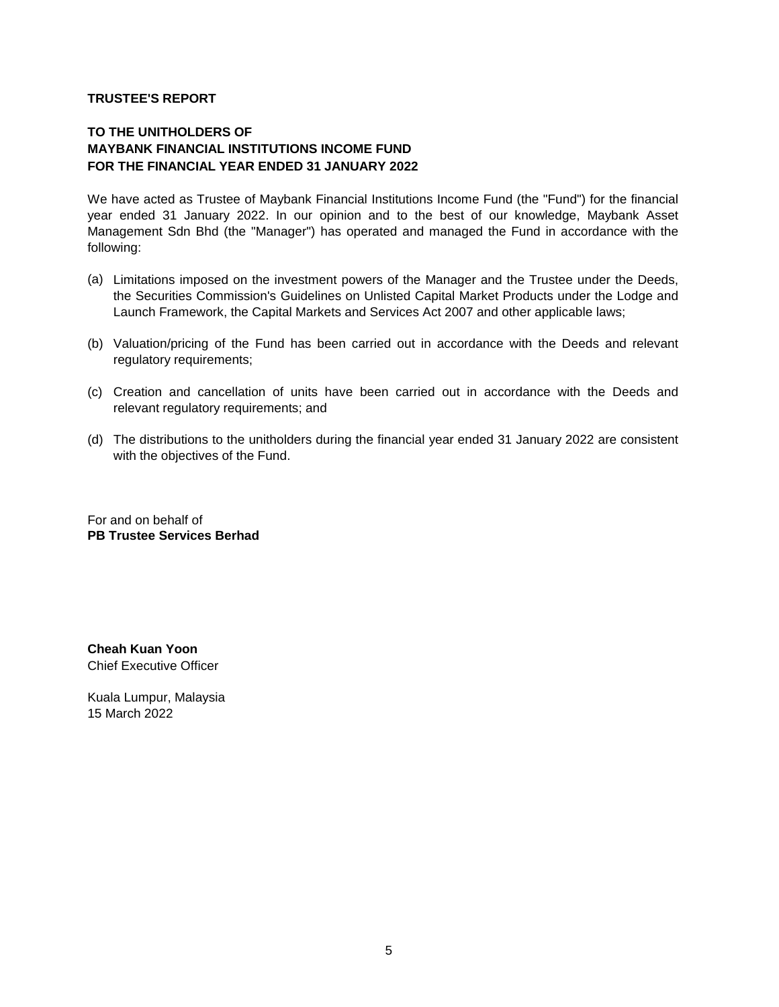#### **TRUSTEE'S REPORT**

#### **MAYBANK FINANCIAL INSTITUTIONS INCOME FUND FOR THE FINANCIAL YEAR ENDED 31 JANUARY 2022 TO THE UNITHOLDERS OF**

We have acted as Trustee of Maybank Financial Institutions Income Fund (the "Fund") for the financial year ended 31 January 2022. In our opinion and to the best of our knowledge, Maybank Asset Management Sdn Bhd (the "Manager") has operated and managed the Fund in accordance with the following:

- (a) Limitations imposed on the investment powers of the Manager and the Trustee under the Deeds, the Securities Commission's Guidelines on Unlisted Capital Market Products under the Lodge and Launch Framework, the Capital Markets and Services Act 2007 and other applicable laws;
- (b) Valuation/pricing of the Fund has been carried out in accordance with the Deeds and relevant regulatory requirements;
- (c) Creation and cancellation of units have been carried out in accordance with the Deeds and relevant regulatory requirements; and
- (d) The distributions to the unitholders during the financial year ended 31 January 2022 are consistent with the objectives of the Fund.

For and on behalf of **PB Trustee Services Berhad**

**Cheah Kuan Yoon**  Chief Executive Officer

Kuala Lumpur, Malaysia 15 March 2022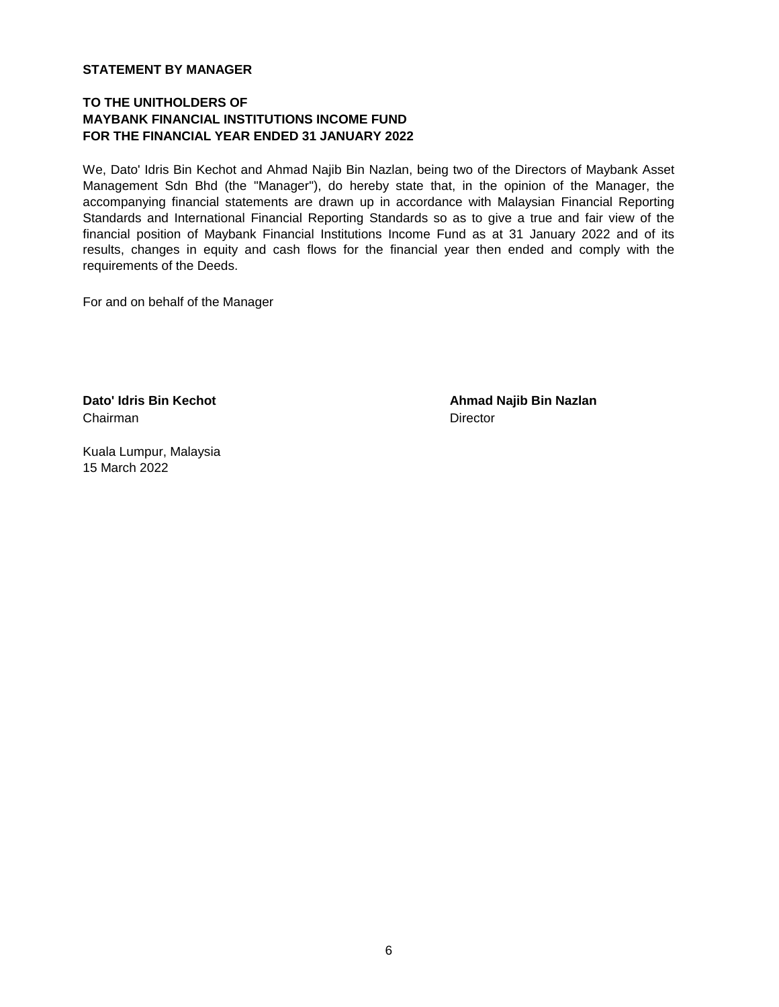#### **STATEMENT BY MANAGER**

#### **TO THE UNITHOLDERS OF MAYBANK FINANCIAL INSTITUTIONS INCOME FUND FOR THE FINANCIAL YEAR ENDED 31 JANUARY 2022**

We, Dato' Idris Bin Kechot and Ahmad Najib Bin Nazlan, being two of the Directors of Maybank Asset Management Sdn Bhd (the "Manager"), do hereby state that, in the opinion of the Manager, the accompanying financial statements are drawn up in accordance with Malaysian Financial Reporting Standards and International Financial Reporting Standards so as to give a true and fair view of the financial position of Maybank Financial Institutions Income Fund as at 31 January 2022 and of its results, changes in equity and cash flows for the financial year then ended and comply with the requirements of the Deeds.

For and on behalf of the Manager

Chairman Director

**Dato' Idris Bin Kechot Ahmad Najib Bin Nazlan**

Kuala Lumpur, Malaysia 15 March 2022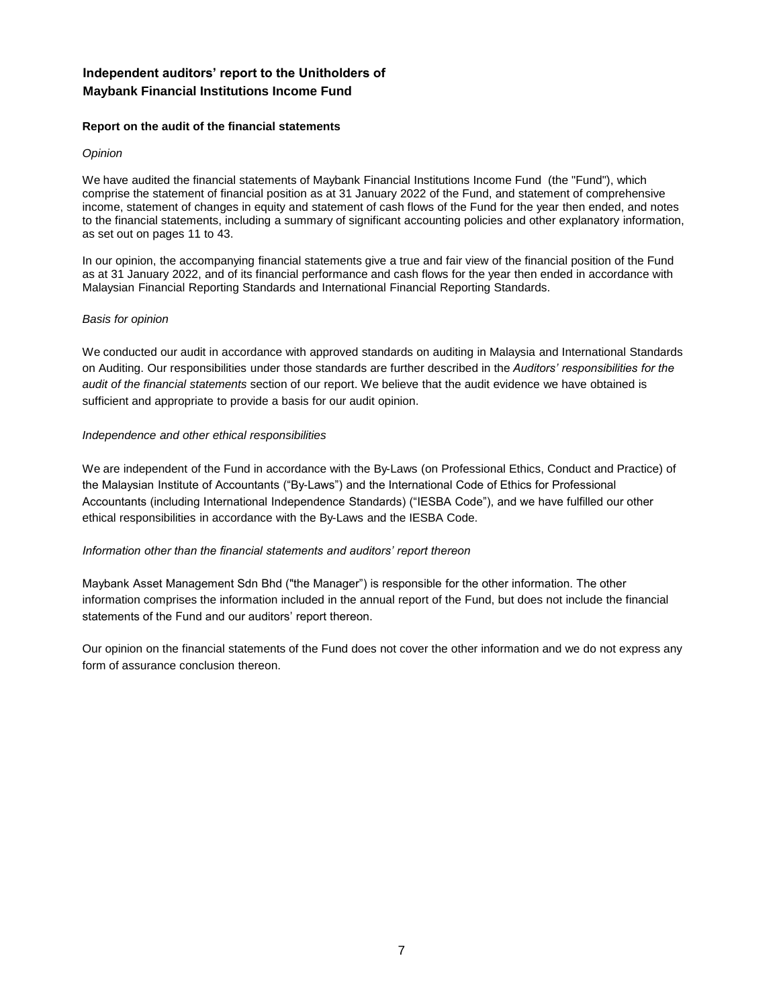#### **Independent auditors' report to the Unitholders of Maybank Financial Institutions Income Fund**

#### **Report on the audit of the financial statements**

#### *Opinion*

We have audited the financial statements of Maybank Financial Institutions Income Fund (the "Fund"), which comprise the statement of financial position as at 31 January 2022 of the Fund, and statement of comprehensive income, statement of changes in equity and statement of cash flows of the Fund for the year then ended, and notes to the financial statements, including a summary of significant accounting policies and other explanatory information, as set out on pages 11 to 43.

In our opinion, the accompanying financial statements give a true and fair view of the financial position of the Fund as at 31 January 2022, and of its financial performance and cash flows for the year then ended in accordance with Malaysian Financial Reporting Standards and International Financial Reporting Standards.

#### *Basis for opinion*

We conducted our audit in accordance with approved standards on auditing in Malaysia and International Standards on Auditing. Our responsibilities under those standards are further described in the *Auditors' responsibilities for the audit of the financial statements* section of our report. We believe that the audit evidence we have obtained is sufficient and appropriate to provide a basis for our audit opinion.

#### *Independence and other ethical responsibilities*

We are independent of the Fund in accordance with the By-Laws (on Professional Ethics, Conduct and Practice) of the Malaysian Institute of Accountants ("By-Laws") and the International Code of Ethics for Professional Accountants (including International Independence Standards) ("IESBA Code"), and we have fulfilled our other ethical responsibilities in accordance with the By-Laws and the IESBA Code.

#### *Information other than the financial statements and auditors' report thereon*

Maybank Asset Management Sdn Bhd ("the Manager") is responsible for the other information. The other information comprises the information included in the annual report of the Fund, but does not include the financial statements of the Fund and our auditors' report thereon.

Our opinion on the financial statements of the Fund does not cover the other information and we do not express any form of assurance conclusion thereon.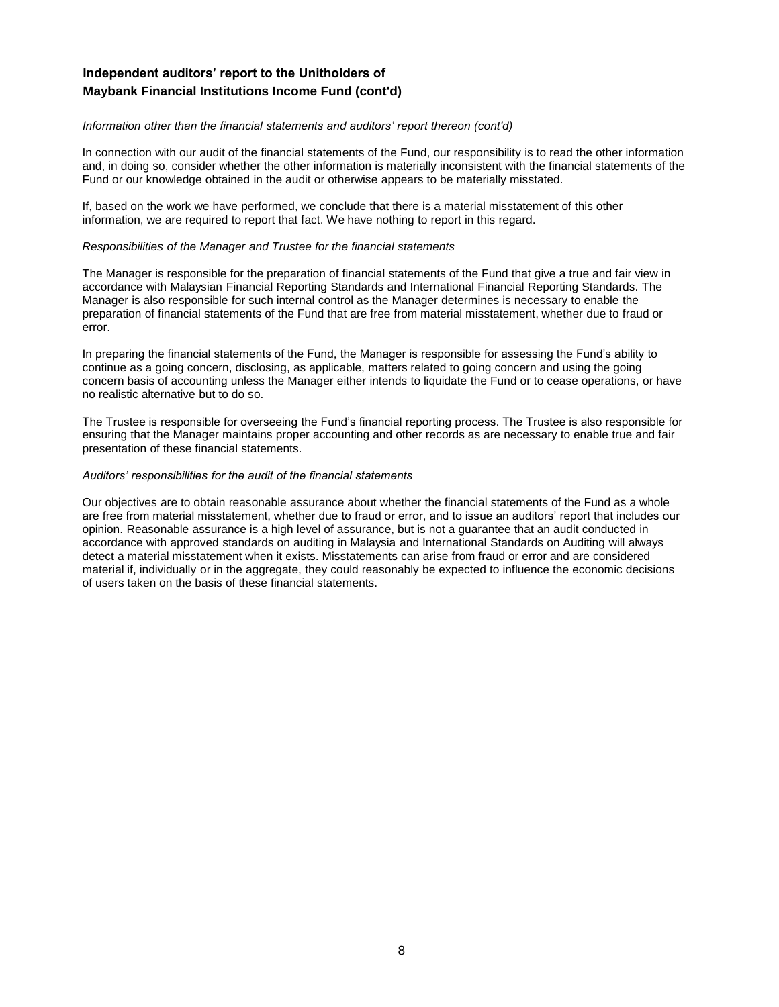#### **Independent auditors' report to the Unitholders of Maybank Financial Institutions Income Fund (cont'd)**

#### *Information other than the financial statements and auditors' report thereon (cont'd)*

In connection with our audit of the financial statements of the Fund, our responsibility is to read the other information and, in doing so, consider whether the other information is materially inconsistent with the financial statements of the Fund or our knowledge obtained in the audit or otherwise appears to be materially misstated.

If, based on the work we have performed, we conclude that there is a material misstatement of this other information, we are required to report that fact. We have nothing to report in this regard.

#### *Responsibilities of the Manager and Trustee for the financial statements*

The Manager is responsible for the preparation of financial statements of the Fund that give a true and fair view in accordance with Malaysian Financial Reporting Standards and International Financial Reporting Standards. The Manager is also responsible for such internal control as the Manager determines is necessary to enable the preparation of financial statements of the Fund that are free from material misstatement, whether due to fraud or error.

In preparing the financial statements of the Fund, the Manager is responsible for assessing the Fund's ability to continue as a going concern, disclosing, as applicable, matters related to going concern and using the going concern basis of accounting unless the Manager either intends to liquidate the Fund or to cease operations, or have no realistic alternative but to do so.

The Trustee is responsible for overseeing the Fund's financial reporting process. The Trustee is also responsible for ensuring that the Manager maintains proper accounting and other records as are necessary to enable true and fair presentation of these financial statements.

#### *Auditors' responsibilities for the audit of the financial statements*

Our objectives are to obtain reasonable assurance about whether the financial statements of the Fund as a whole are free from material misstatement, whether due to fraud or error, and to issue an auditors' report that includes our opinion. Reasonable assurance is a high level of assurance, but is not a guarantee that an audit conducted in accordance with approved standards on auditing in Malaysia and International Standards on Auditing will always detect a material misstatement when it exists. Misstatements can arise from fraud or error and are considered material if, individually or in the aggregate, they could reasonably be expected to influence the economic decisions of users taken on the basis of these financial statements.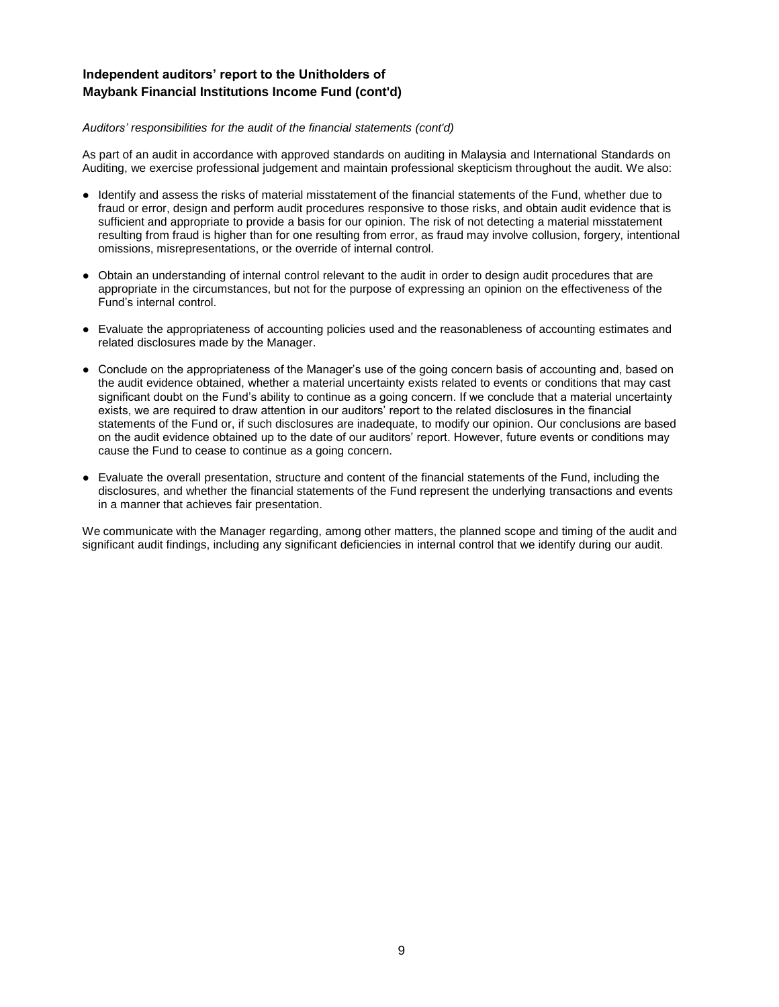#### **Independent auditors' report to the Unitholders of Maybank Financial Institutions Income Fund (cont'd)**

#### *Auditors' responsibilities for the audit of the financial statements (cont'd)*

As part of an audit in accordance with approved standards on auditing in Malaysia and International Standards on Auditing, we exercise professional judgement and maintain professional skepticism throughout the audit. We also:

- Identify and assess the risks of material misstatement of the financial statements of the Fund, whether due to fraud or error, design and perform audit procedures responsive to those risks, and obtain audit evidence that is sufficient and appropriate to provide a basis for our opinion. The risk of not detecting a material misstatement resulting from fraud is higher than for one resulting from error, as fraud may involve collusion, forgery, intentional omissions, misrepresentations, or the override of internal control.
- Obtain an understanding of internal control relevant to the audit in order to design audit procedures that are appropriate in the circumstances, but not for the purpose of expressing an opinion on the effectiveness of the Fund's internal control.
- Evaluate the appropriateness of accounting policies used and the reasonableness of accounting estimates and related disclosures made by the Manager.
- Conclude on the appropriateness of the Manager's use of the going concern basis of accounting and, based on the audit evidence obtained, whether a material uncertainty exists related to events or conditions that may cast significant doubt on the Fund's ability to continue as a going concern. If we conclude that a material uncertainty exists, we are required to draw attention in our auditors' report to the related disclosures in the financial statements of the Fund or, if such disclosures are inadequate, to modify our opinion. Our conclusions are based on the audit evidence obtained up to the date of our auditors' report. However, future events or conditions may cause the Fund to cease to continue as a going concern.
- Evaluate the overall presentation, structure and content of the financial statements of the Fund, including the disclosures, and whether the financial statements of the Fund represent the underlying transactions and events in a manner that achieves fair presentation.

We communicate with the Manager regarding, among other matters, the planned scope and timing of the audit and significant audit findings, including any significant deficiencies in internal control that we identify during our audit.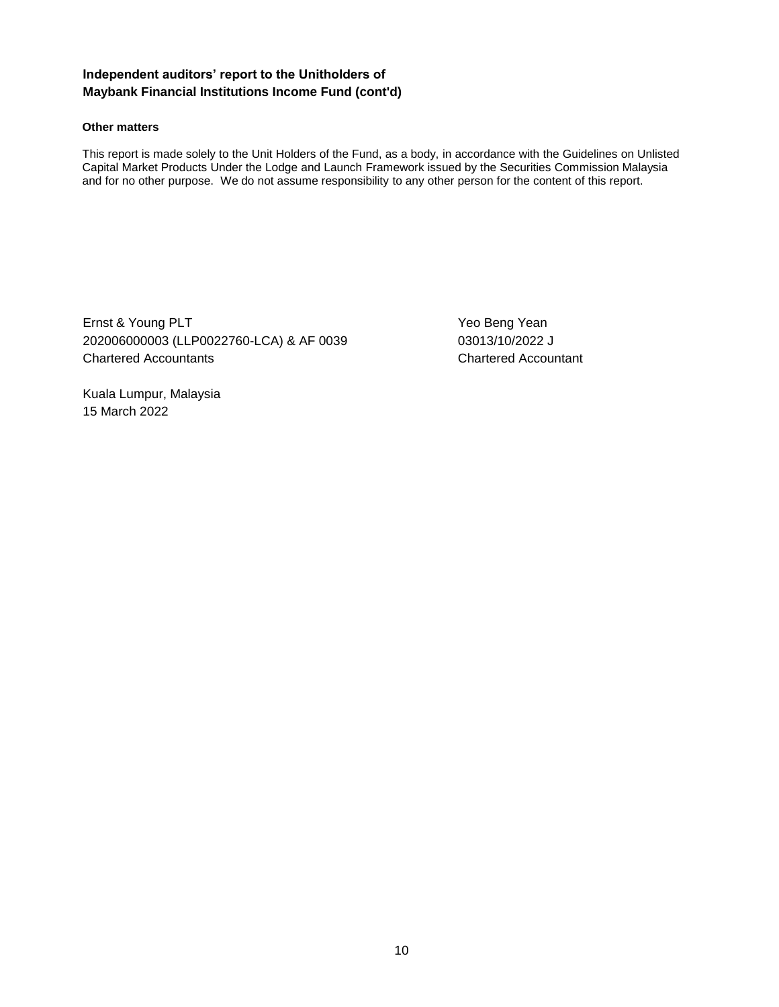#### **Independent auditors' report to the Unitholders of Maybank Financial Institutions Income Fund (cont'd)**

#### **Other matters**

This report is made solely to the Unit Holders of the Fund, as a body, in accordance with the Guidelines on Unlisted Capital Market Products Under the Lodge and Launch Framework issued by the Securities Commission Malaysia and for no other purpose. We do not assume responsibility to any other person for the content of this report.

Ernst & Young PLT The Contract of the Contract of the Yeo Beng Yean 202006000003 (LLP0022760-LCA) & AF 0039 03013/10/2022 J Chartered Accountants Chartered Accountant

Kuala Lumpur, Malaysia 15 March 2022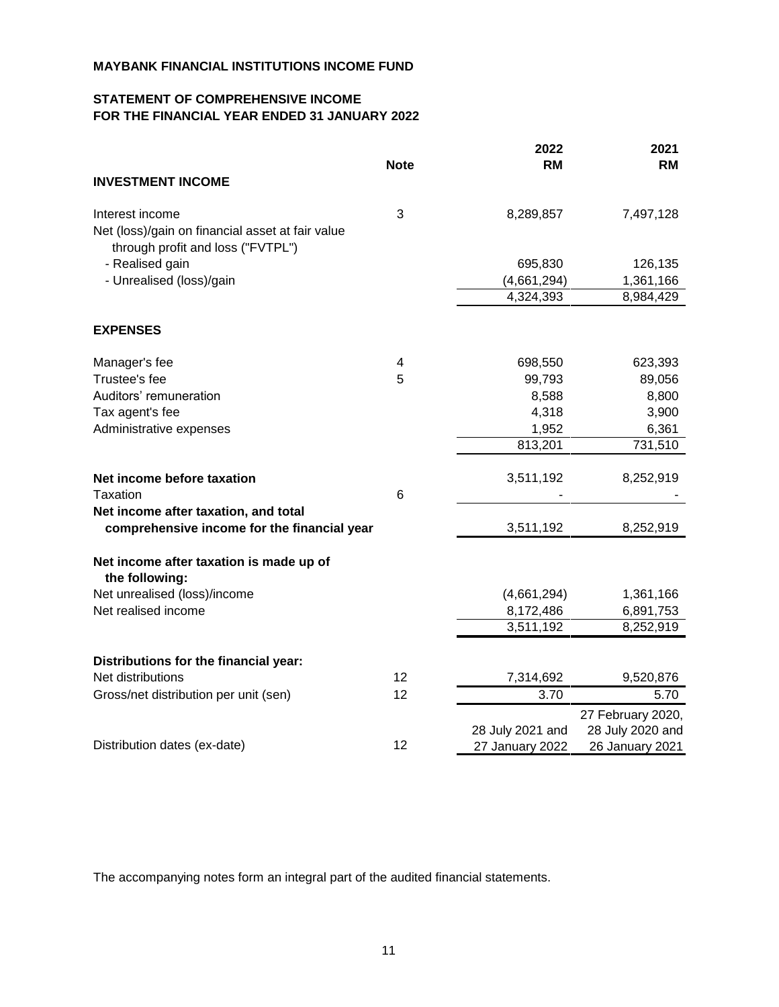### **STATEMENT OF COMPREHENSIVE INCOME FOR THE FINANCIAL YEAR ENDED 31 JANUARY 2022**

|                                                                                       |             | 2022             | 2021              |
|---------------------------------------------------------------------------------------|-------------|------------------|-------------------|
|                                                                                       | <b>Note</b> | <b>RM</b>        | <b>RM</b>         |
| <b>INVESTMENT INCOME</b>                                                              |             |                  |                   |
| Interest income                                                                       | 3           | 8,289,857        | 7,497,128         |
| Net (loss)/gain on financial asset at fair value<br>through profit and loss ("FVTPL") |             |                  |                   |
| - Realised gain                                                                       |             | 695,830          | 126,135           |
| - Unrealised (loss)/gain                                                              |             | (4,661,294)      | 1,361,166         |
|                                                                                       |             | 4,324,393        | 8,984,429         |
| <b>EXPENSES</b>                                                                       |             |                  |                   |
| Manager's fee                                                                         | 4           | 698,550          | 623,393           |
| Trustee's fee                                                                         | 5           | 99,793           | 89,056            |
| Auditors' remuneration                                                                |             | 8,588            | 8,800             |
| Tax agent's fee                                                                       |             | 4,318            | 3,900             |
| Administrative expenses                                                               |             | 1,952            | 6,361             |
|                                                                                       |             | 813,201          | 731,510           |
| Net income before taxation                                                            |             | 3,511,192        | 8,252,919         |
| Taxation                                                                              | 6           |                  |                   |
| Net income after taxation, and total                                                  |             |                  |                   |
| comprehensive income for the financial year                                           |             | 3,511,192        | 8,252,919         |
| Net income after taxation is made up of<br>the following:                             |             |                  |                   |
| Net unrealised (loss)/income                                                          |             | (4,661,294)      | 1,361,166         |
| Net realised income                                                                   |             | 8,172,486        | 6,891,753         |
|                                                                                       |             | 3,511,192        | 8,252,919         |
| Distributions for the financial year:                                                 |             |                  |                   |
| Net distributions                                                                     | 12          | 7,314,692        | 9,520,876         |
| Gross/net distribution per unit (sen)                                                 | 12          | 3.70             | 5.70              |
|                                                                                       |             |                  | 27 February 2020, |
|                                                                                       |             | 28 July 2021 and | 28 July 2020 and  |
| Distribution dates (ex-date)                                                          | 12          | 27 January 2022  | 26 January 2021   |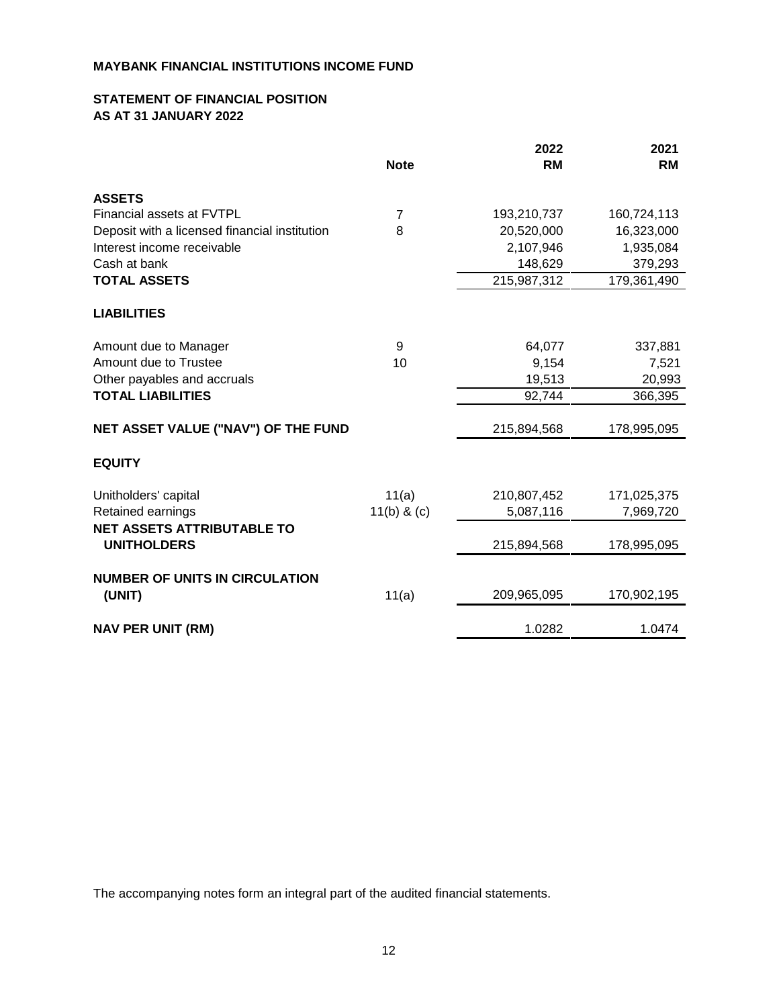#### **STATEMENT OF FINANCIAL POSITION AS AT 31 JANUARY 2022**

|                                               |               | 2022        | 2021        |
|-----------------------------------------------|---------------|-------------|-------------|
|                                               | <b>Note</b>   | <b>RM</b>   | <b>RM</b>   |
| <b>ASSETS</b>                                 |               |             |             |
| Financial assets at FVTPL                     | 7             | 193,210,737 | 160,724,113 |
| Deposit with a licensed financial institution | 8             | 20,520,000  | 16,323,000  |
| Interest income receivable                    |               | 2,107,946   | 1,935,084   |
| Cash at bank                                  |               | 148,629     | 379,293     |
| <b>TOTAL ASSETS</b>                           |               | 215,987,312 | 179,361,490 |
| <b>LIABILITIES</b>                            |               |             |             |
| Amount due to Manager                         | 9             | 64,077      | 337,881     |
| Amount due to Trustee                         | 10            | 9,154       | 7,521       |
| Other payables and accruals                   |               | 19,513      | 20,993      |
| <b>TOTAL LIABILITIES</b>                      |               | 92,744      | 366,395     |
| NET ASSET VALUE ("NAV") OF THE FUND           |               | 215,894,568 | 178,995,095 |
| <b>EQUITY</b>                                 |               |             |             |
| Unitholders' capital                          | 11(a)         | 210,807,452 | 171,025,375 |
| Retained earnings                             | $11(b)$ & (c) | 5,087,116   | 7,969,720   |
| <b>NET ASSETS ATTRIBUTABLE TO</b>             |               |             |             |
| <b>UNITHOLDERS</b>                            |               | 215,894,568 | 178,995,095 |
| <b>NUMBER OF UNITS IN CIRCULATION</b>         |               |             |             |
| (UNIT)                                        | 11(a)         | 209,965,095 | 170,902,195 |
| <b>NAV PER UNIT (RM)</b>                      |               | 1.0282      | 1.0474      |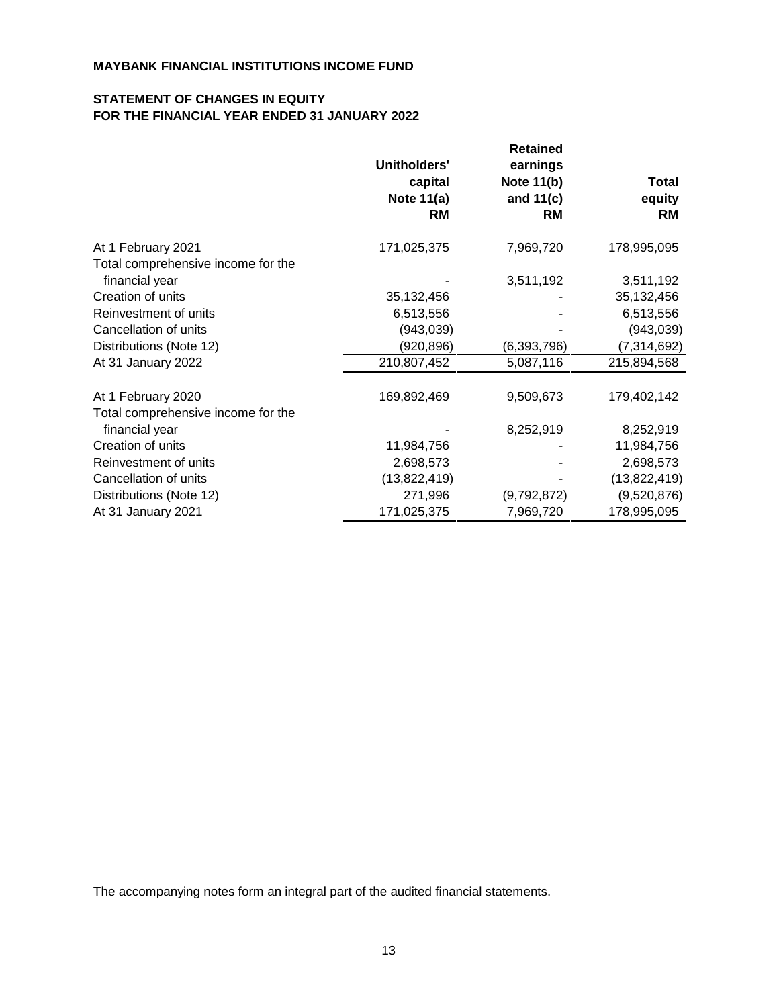#### **STATEMENT OF CHANGES IN EQUITY FOR THE FINANCIAL YEAR ENDED 31 JANUARY 2022**

|                                    | Unitholders'<br>capital<br>Note $11(a)$<br><b>RM</b> | <b>Retained</b><br>earnings<br>Note 11(b)<br>and $11(c)$<br><b>RM</b> | <b>Total</b><br>equity<br><b>RM</b> |
|------------------------------------|------------------------------------------------------|-----------------------------------------------------------------------|-------------------------------------|
| At 1 February 2021                 | 171,025,375                                          | 7,969,720                                                             | 178,995,095                         |
| Total comprehensive income for the |                                                      |                                                                       |                                     |
| financial year                     |                                                      | 3,511,192                                                             | 3,511,192                           |
| Creation of units                  | 35,132,456                                           |                                                                       | 35, 132, 456                        |
| Reinvestment of units              | 6,513,556                                            |                                                                       | 6,513,556                           |
| Cancellation of units              | (943, 039)                                           |                                                                       | (943,039)                           |
| Distributions (Note 12)            | (920, 896)                                           | (6,393,796)                                                           | (7, 314, 692)                       |
| At 31 January 2022                 | 210,807,452                                          | 5,087,116                                                             | 215,894,568                         |
| At 1 February 2020                 | 169,892,469                                          | 9,509,673                                                             | 179,402,142                         |
| Total comprehensive income for the |                                                      |                                                                       |                                     |
| financial year                     |                                                      | 8,252,919                                                             | 8,252,919                           |
| Creation of units                  | 11,984,756                                           |                                                                       | 11,984,756                          |
| Reinvestment of units              | 2,698,573                                            |                                                                       | 2,698,573                           |
| Cancellation of units              | (13,822,419)                                         |                                                                       | (13,822,419)                        |
| Distributions (Note 12)            | 271,996                                              | (9,792,872)                                                           | (9,520,876)                         |
| At 31 January 2021                 | 171,025,375                                          | 7,969,720                                                             | 178,995,095                         |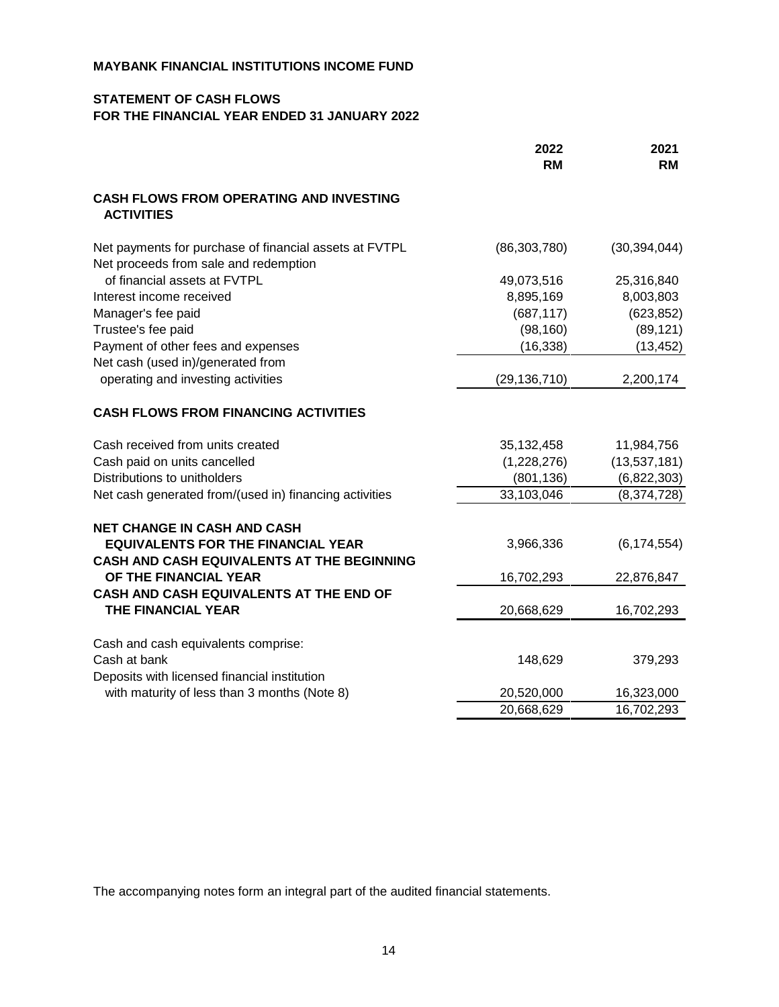#### **STATEMENT OF CASH FLOWS FOR THE FINANCIAL YEAR ENDED 31 JANUARY 2022**

|                                                                                                 | 2022<br><b>RM</b> | 2021<br><b>RM</b> |
|-------------------------------------------------------------------------------------------------|-------------------|-------------------|
| <b>CASH FLOWS FROM OPERATING AND INVESTING</b><br><b>ACTIVITIES</b>                             |                   |                   |
| Net payments for purchase of financial assets at FVTPL<br>Net proceeds from sale and redemption | (86, 303, 780)    | (30, 394, 044)    |
| of financial assets at FVTPL                                                                    | 49,073,516        | 25,316,840        |
| Interest income received                                                                        | 8,895,169         | 8,003,803         |
| Manager's fee paid                                                                              | (687, 117)        | (623, 852)        |
| Trustee's fee paid                                                                              | (98, 160)         | (89, 121)         |
| Payment of other fees and expenses                                                              | (16, 338)         | (13, 452)         |
| Net cash (used in)/generated from                                                               |                   |                   |
| operating and investing activities                                                              | (29, 136, 710)    | 2,200,174         |
| <b>CASH FLOWS FROM FINANCING ACTIVITIES</b>                                                     |                   |                   |
| Cash received from units created                                                                | 35,132,458        | 11,984,756        |
| Cash paid on units cancelled                                                                    | (1,228,276)       | (13,537,181)      |
| Distributions to unitholders                                                                    | (801, 136)        | (6,822,303)       |
| Net cash generated from/(used in) financing activities                                          | 33,103,046        | (8,374,728)       |
| <b>NET CHANGE IN CASH AND CASH</b>                                                              |                   |                   |
| <b>EQUIVALENTS FOR THE FINANCIAL YEAR</b>                                                       | 3,966,336         | (6, 174, 554)     |
| CASH AND CASH EQUIVALENTS AT THE BEGINNING                                                      |                   |                   |
| OF THE FINANCIAL YEAR                                                                           | 16,702,293        | 22,876,847        |
| CASH AND CASH EQUIVALENTS AT THE END OF<br>THE FINANCIAL YEAR                                   | 20,668,629        | 16,702,293        |
|                                                                                                 |                   |                   |
| Cash and cash equivalents comprise:                                                             |                   |                   |
| Cash at bank                                                                                    | 148,629           | 379,293           |
| Deposits with licensed financial institution                                                    |                   |                   |
| with maturity of less than 3 months (Note 8)                                                    | 20,520,000        | 16,323,000        |
|                                                                                                 | 20,668,629        | 16,702,293        |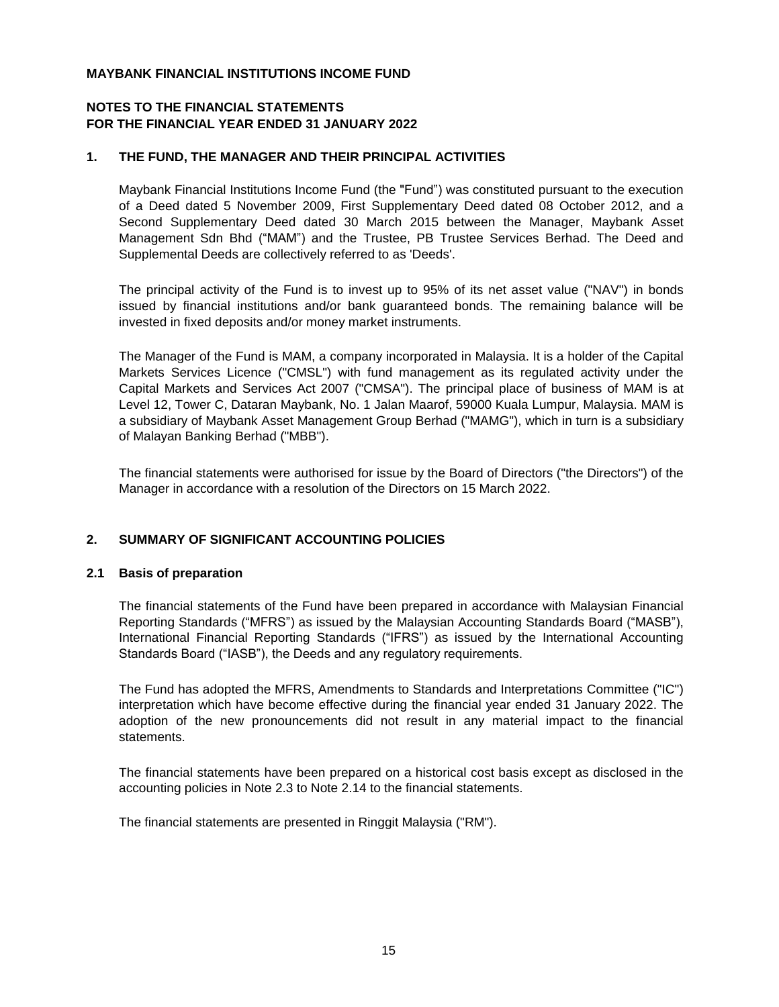#### **NOTES TO THE FINANCIAL STATEMENTS FOR THE FINANCIAL YEAR ENDED 31 JANUARY 2022**

#### **1. THE FUND, THE MANAGER AND THEIR PRINCIPAL ACTIVITIES**

Maybank Financial Institutions Income Fund (the "Fund") was constituted pursuant to the execution of a Deed dated 5 November 2009, First Supplementary Deed dated 08 October 2012, and a Second Supplementary Deed dated 30 March 2015 between the Manager, Maybank Asset Management Sdn Bhd ("MAM") and the Trustee, PB Trustee Services Berhad. The Deed and Supplemental Deeds are collectively referred to as 'Deeds'.

The principal activity of the Fund is to invest up to 95% of its net asset value ("NAV") in bonds issued by financial institutions and/or bank guaranteed bonds. The remaining balance will be invested in fixed deposits and/or money market instruments.

The Manager of the Fund is MAM, a company incorporated in Malaysia. It is a holder of the Capital Markets Services Licence ("CMSL") with fund management as its regulated activity under the Capital Markets and Services Act 2007 ("CMSA"). The principal place of business of MAM is at Level 12, Tower C, Dataran Maybank, No. 1 Jalan Maarof, 59000 Kuala Lumpur, Malaysia. MAM is a subsidiary of Maybank Asset Management Group Berhad ("MAMG"), which in turn is a subsidiary of Malayan Banking Berhad ("MBB").

The financial statements were authorised for issue by the Board of Directors ("the Directors") of the Manager in accordance with a resolution of the Directors on 15 March 2022.

#### **2. SUMMARY OF SIGNIFICANT ACCOUNTING POLICIES**

#### **2.1 Basis of preparation**

The financial statements of the Fund have been prepared in accordance with Malaysian Financial Reporting Standards ("MFRS") as issued by the Malaysian Accounting Standards Board ("MASB"), International Financial Reporting Standards ("IFRS") as issued by the International Accounting Standards Board ("IASB"), the Deeds and any regulatory requirements.

The Fund has adopted the MFRS, Amendments to Standards and Interpretations Committee ("IC") interpretation which have become effective during the financial year ended 31 January 2022. The adoption of the new pronouncements did not result in any material impact to the financial statements.

The financial statements have been prepared on a historical cost basis except as disclosed in the accounting policies in Note 2.3 to Note 2.14 to the financial statements.

The financial statements are presented in Ringgit Malaysia ("RM").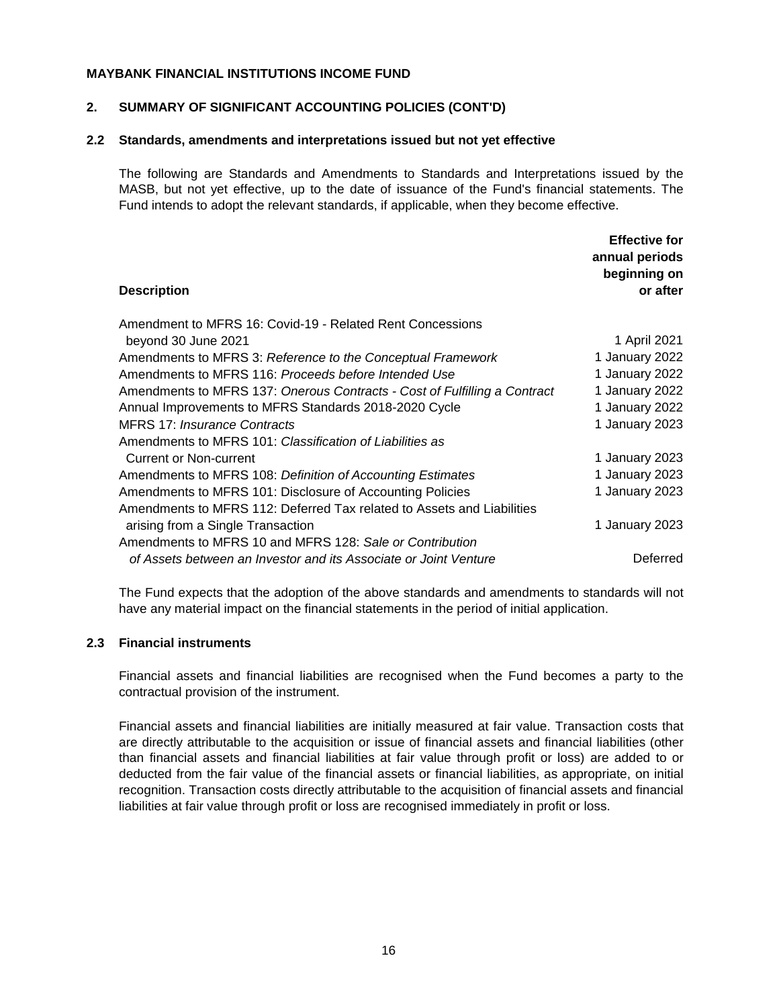#### **2. SUMMARY OF SIGNIFICANT ACCOUNTING POLICIES (CONT'D)**

#### **2.2 Standards, amendments and interpretations issued but not yet effective**

The following are Standards and Amendments to Standards and Interpretations issued by the MASB, but not yet effective, up to the date of issuance of the Fund's financial statements. The Fund intends to adopt the relevant standards, if applicable, when they become effective.

| <b>Description</b>                                                        | <b>Effective for</b><br>annual periods<br>beginning on<br>or after |
|---------------------------------------------------------------------------|--------------------------------------------------------------------|
| Amendment to MFRS 16: Covid-19 - Related Rent Concessions                 |                                                                    |
| beyond 30 June 2021                                                       | 1 April 2021                                                       |
| Amendments to MFRS 3: Reference to the Conceptual Framework               | 1 January 2022                                                     |
| Amendments to MFRS 116: Proceeds before Intended Use                      | 1 January 2022                                                     |
| Amendments to MFRS 137: Onerous Contracts - Cost of Fulfilling a Contract | 1 January 2022                                                     |
| Annual Improvements to MFRS Standards 2018-2020 Cycle                     | 1 January 2022                                                     |
| <b>MFRS 17: Insurance Contracts</b>                                       | 1 January 2023                                                     |
| Amendments to MFRS 101: Classification of Liabilities as                  |                                                                    |
| <b>Current or Non-current</b>                                             | 1 January 2023                                                     |
| Amendments to MFRS 108: Definition of Accounting Estimates                | 1 January 2023                                                     |
| Amendments to MFRS 101: Disclosure of Accounting Policies                 | 1 January 2023                                                     |
| Amendments to MFRS 112: Deferred Tax related to Assets and Liabilities    |                                                                    |
| arising from a Single Transaction                                         | 1 January 2023                                                     |
| Amendments to MFRS 10 and MFRS 128: Sale or Contribution                  |                                                                    |
| of Assets between an Investor and its Associate or Joint Venture          | Deferred                                                           |
|                                                                           |                                                                    |

The Fund expects that the adoption of the above standards and amendments to standards will not have any material impact on the financial statements in the period of initial application.

#### **2.3 Financial instruments**

Financial assets and financial liabilities are recognised when the Fund becomes a party to the contractual provision of the instrument.

Financial assets and financial liabilities are initially measured at fair value. Transaction costs that are directly attributable to the acquisition or issue of financial assets and financial liabilities (other than financial assets and financial liabilities at fair value through profit or loss) are added to or deducted from the fair value of the financial assets or financial liabilities, as appropriate, on initial recognition. Transaction costs directly attributable to the acquisition of financial assets and financial liabilities at fair value through profit or loss are recognised immediately in profit or loss.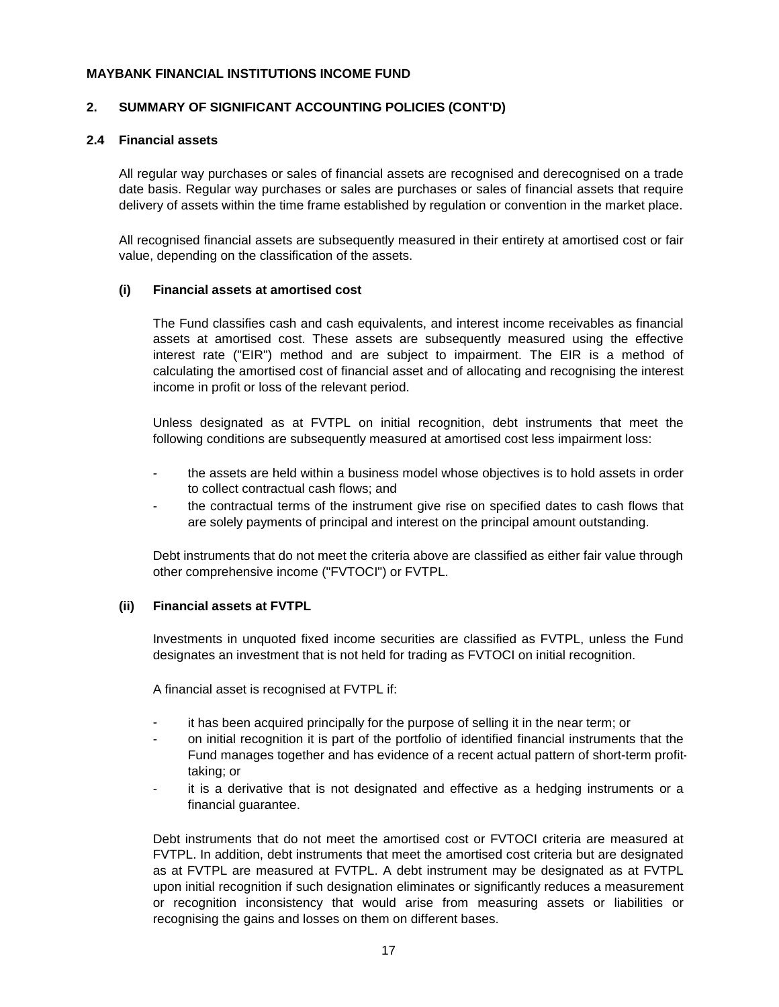#### **2. SUMMARY OF SIGNIFICANT ACCOUNTING POLICIES (CONT'D)**

#### **2.4 Financial assets**

All regular way purchases or sales of financial assets are recognised and derecognised on a trade date basis. Regular way purchases or sales are purchases or sales of financial assets that require delivery of assets within the time frame established by regulation or convention in the market place.

All recognised financial assets are subsequently measured in their entirety at amortised cost or fair value, depending on the classification of the assets.

#### **(i) Financial assets at amortised cost**

The Fund classifies cash and cash equivalents, and interest income receivables as financial assets at amortised cost. These assets are subsequently measured using the effective interest rate ("EIR") method and are subject to impairment. The EIR is a method of calculating the amortised cost of financial asset and of allocating and recognising the interest income in profit or loss of the relevant period.

Unless designated as at FVTPL on initial recognition, debt instruments that meet the following conditions are subsequently measured at amortised cost less impairment loss:

- the assets are held within a business model whose objectives is to hold assets in order to collect contractual cash flows; and
- the contractual terms of the instrument give rise on specified dates to cash flows that are solely payments of principal and interest on the principal amount outstanding.

Debt instruments that do not meet the criteria above are classified as either fair value through other comprehensive income ("FVTOCI") or FVTPL.

#### **(ii) Financial assets at FVTPL**

Investments in unquoted fixed income securities are classified as FVTPL, unless the Fund designates an investment that is not held for trading as FVTOCI on initial recognition.

A financial asset is recognised at FVTPL if:

- it has been acquired principally for the purpose of selling it in the near term; or
- on initial recognition it is part of the portfolio of identified financial instruments that the Fund manages together and has evidence of a recent actual pattern of short-term profittaking; or
- it is a derivative that is not designated and effective as a hedging instruments or a financial guarantee.

Debt instruments that do not meet the amortised cost or FVTOCI criteria are measured at FVTPL. In addition, debt instruments that meet the amortised cost criteria but are designated as at FVTPL are measured at FVTPL. A debt instrument may be designated as at FVTPL upon initial recognition if such designation eliminates or significantly reduces a measurement or recognition inconsistency that would arise from measuring assets or liabilities or recognising the gains and losses on them on different bases.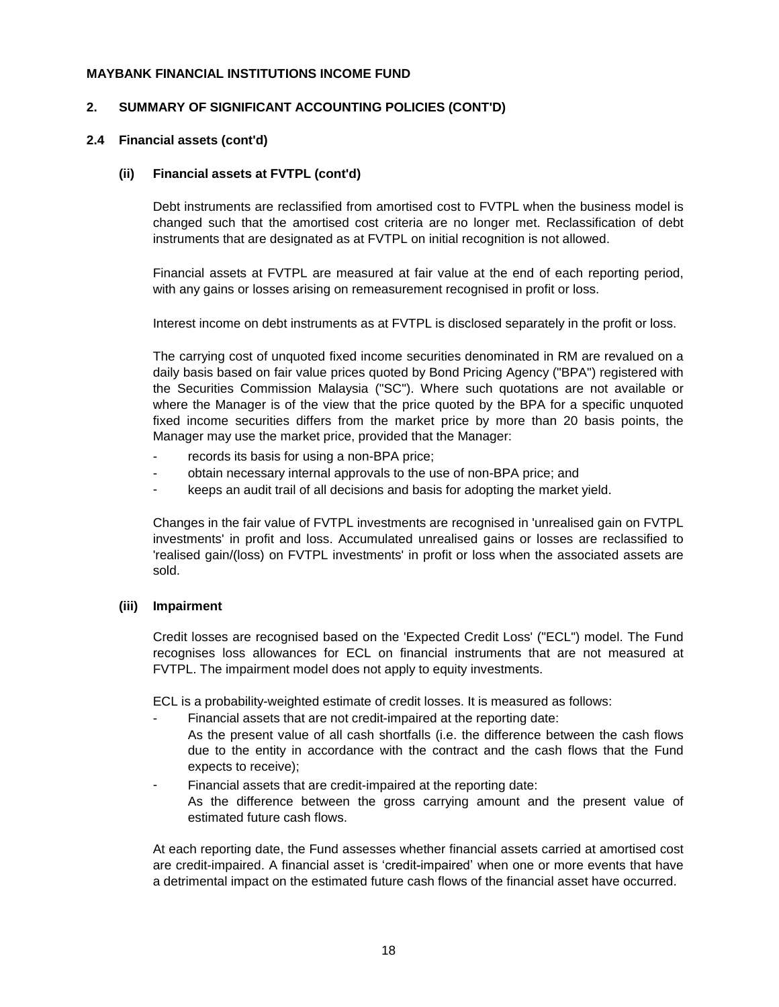#### **2. SUMMARY OF SIGNIFICANT ACCOUNTING POLICIES (CONT'D)**

#### **2.4 Financial assets (cont'd)**

#### **(ii) Financial assets at FVTPL (cont'd)**

Debt instruments are reclassified from amortised cost to FVTPL when the business model is changed such that the amortised cost criteria are no longer met. Reclassification of debt instruments that are designated as at FVTPL on initial recognition is not allowed.

Financial assets at FVTPL are measured at fair value at the end of each reporting period, with any gains or losses arising on remeasurement recognised in profit or loss.

Interest income on debt instruments as at FVTPL is disclosed separately in the profit or loss.

The carrying cost of unquoted fixed income securities denominated in RM are revalued on a daily basis based on fair value prices quoted by Bond Pricing Agency ("BPA") registered with the Securities Commission Malaysia ("SC"). Where such quotations are not available or where the Manager is of the view that the price quoted by the BPA for a specific unquoted fixed income securities differs from the market price by more than 20 basis points, the Manager may use the market price, provided that the Manager:

- records its basis for using a non-BPA price;
- obtain necessary internal approvals to the use of non-BPA price; and
- keeps an audit trail of all decisions and basis for adopting the market yield.

Changes in the fair value of FVTPL investments are recognised in 'unrealised gain on FVTPL investments' in profit and loss. Accumulated unrealised gains or losses are reclassified to 'realised gain/(loss) on FVTPL investments' in profit or loss when the associated assets are sold.

#### **(iii) Impairment**

Credit losses are recognised based on the 'Expected Credit Loss' ("ECL") model. The Fund recognises loss allowances for ECL on financial instruments that are not measured at FVTPL. The impairment model does not apply to equity investments.

ECL is a probability-weighted estimate of credit losses. It is measured as follows:

- Financial assets that are not credit-impaired at the reporting date: As the present value of all cash shortfalls (i.e. the difference between the cash flows due to the entity in accordance with the contract and the cash flows that the Fund expects to receive);
- Financial assets that are credit-impaired at the reporting date: As the difference between the gross carrying amount and the present value of estimated future cash flows.

At each reporting date, the Fund assesses whether financial assets carried at amortised cost are credit-impaired. A financial asset is 'credit-impaired' when one or more events that have a detrimental impact on the estimated future cash flows of the financial asset have occurred.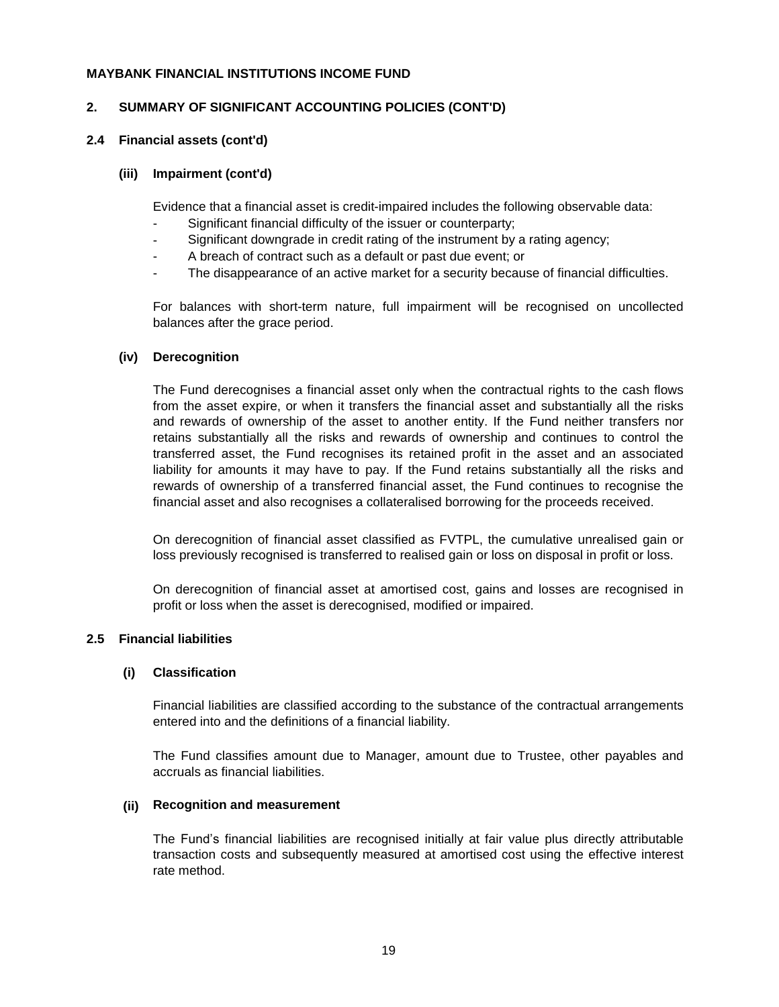#### **2. SUMMARY OF SIGNIFICANT ACCOUNTING POLICIES (CONT'D)**

#### **2.4 Financial assets (cont'd)**

#### **(iii) Impairment (cont'd)**

Evidence that a financial asset is credit-impaired includes the following observable data:

- Significant financial difficulty of the issuer or counterparty;
- Significant downgrade in credit rating of the instrument by a rating agency;
- A breach of contract such as a default or past due event; or
- The disappearance of an active market for a security because of financial difficulties.

For balances with short-term nature, full impairment will be recognised on uncollected balances after the grace period.

#### **(iv) Derecognition**

The Fund derecognises a financial asset only when the contractual rights to the cash flows from the asset expire, or when it transfers the financial asset and substantially all the risks and rewards of ownership of the asset to another entity. If the Fund neither transfers nor retains substantially all the risks and rewards of ownership and continues to control the transferred asset, the Fund recognises its retained profit in the asset and an associated liability for amounts it may have to pay. If the Fund retains substantially all the risks and rewards of ownership of a transferred financial asset, the Fund continues to recognise the financial asset and also recognises a collateralised borrowing for the proceeds received.

On derecognition of financial asset classified as FVTPL, the cumulative unrealised gain or loss previously recognised is transferred to realised gain or loss on disposal in profit or loss.

On derecognition of financial asset at amortised cost, gains and losses are recognised in profit or loss when the asset is derecognised, modified or impaired.

#### **2.5 Financial liabilities**

#### **(i) Classification**

Financial liabilities are classified according to the substance of the contractual arrangements entered into and the definitions of a financial liability.

The Fund classifies amount due to Manager, amount due to Trustee, other payables and accruals as financial liabilities.

#### **(ii) Recognition and measurement**

The Fund's financial liabilities are recognised initially at fair value plus directly attributable transaction costs and subsequently measured at amortised cost using the effective interest rate method.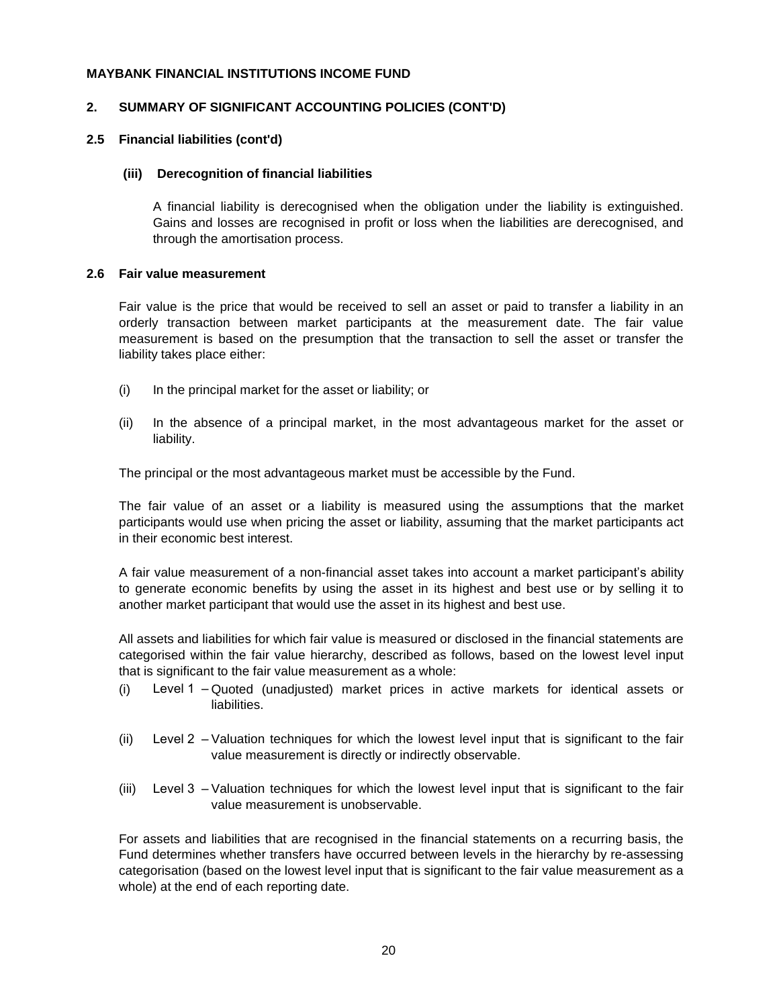#### **2. SUMMARY OF SIGNIFICANT ACCOUNTING POLICIES (CONT'D)**

#### **2.5 Financial liabilities (cont'd)**

#### **(iii) Derecognition of financial liabilities**

A financial liability is derecognised when the obligation under the liability is extinguished. Gains and losses are recognised in profit or loss when the liabilities are derecognised, and through the amortisation process.

#### **2.6 Fair value measurement**

Fair value is the price that would be received to sell an asset or paid to transfer a liability in an orderly transaction between market participants at the measurement date. The fair value measurement is based on the presumption that the transaction to sell the asset or transfer the liability takes place either:

- (i) In the principal market for the asset or liability; or
- (ii) In the absence of a principal market, in the most advantageous market for the asset or liability.

The principal or the most advantageous market must be accessible by the Fund.

The fair value of an asset or a liability is measured using the assumptions that the market participants would use when pricing the asset or liability, assuming that the market participants act in their economic best interest.

A fair value measurement of a non-financial asset takes into account a market participant's ability to generate economic benefits by using the asset in its highest and best use or by selling it to another market participant that would use the asset in its highest and best use.

All assets and liabilities for which fair value is measured or disclosed in the financial statements are categorised within the fair value hierarchy, described as follows, based on the lowest level input that is significant to the fair value measurement as a whole:

- (i) Level 1 Quoted (unadjusted) market prices in active markets for identical assets or liabilities.
- (ii) Level 2 Valuation techniques for which the lowest level input that is significant to the fair value measurement is directly or indirectly observable.
- (iii) Level 3 Valuation techniques for which the lowest level input that is significant to the fair value measurement is unobservable.

For assets and liabilities that are recognised in the financial statements on a recurring basis, the Fund determines whether transfers have occurred between levels in the hierarchy by re-assessing categorisation (based on the lowest level input that is significant to the fair value measurement as a whole) at the end of each reporting date.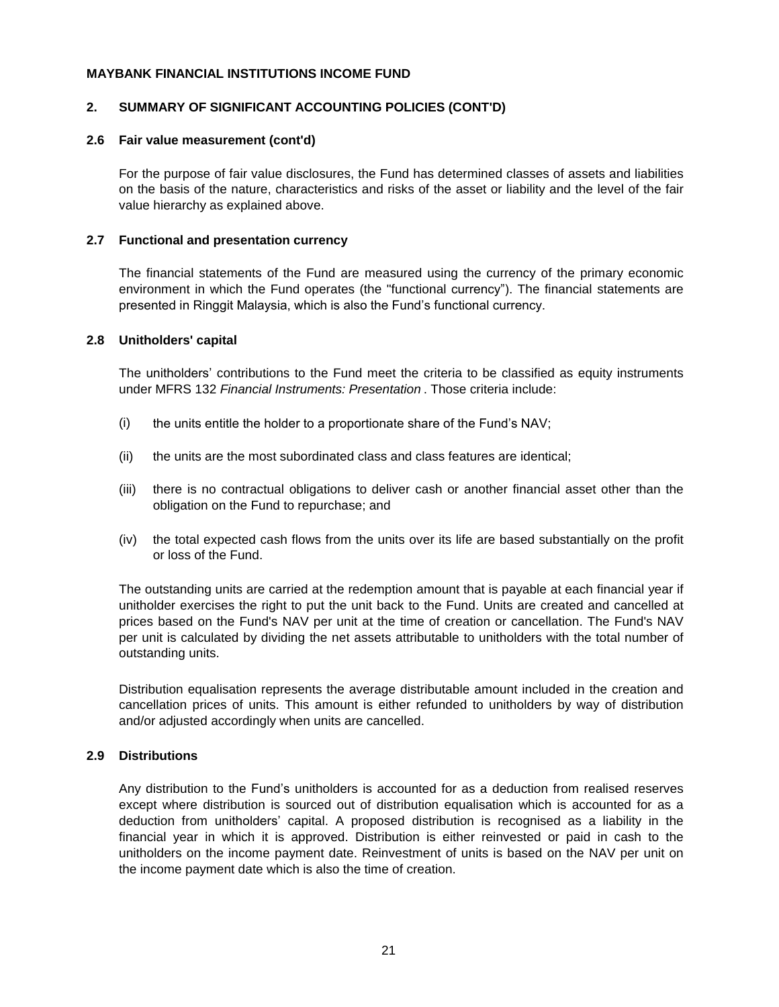#### **2. SUMMARY OF SIGNIFICANT ACCOUNTING POLICIES (CONT'D)**

#### **2.6 Fair value measurement (cont'd)**

For the purpose of fair value disclosures, the Fund has determined classes of assets and liabilities on the basis of the nature, characteristics and risks of the asset or liability and the level of the fair value hierarchy as explained above.

#### **2.7 Functional and presentation currency**

The financial statements of the Fund are measured using the currency of the primary economic environment in which the Fund operates (the "functional currency"). The financial statements are presented in Ringgit Malaysia, which is also the Fund's functional currency.

#### **2.8 Unitholders' capital**

The unitholders' contributions to the Fund meet the criteria to be classified as equity instruments under MFRS 132 *Financial Instruments: Presentation* . Those criteria include:

- (i) the units entitle the holder to a proportionate share of the Fund's NAV;
- (ii) the units are the most subordinated class and class features are identical;
- (iii) there is no contractual obligations to deliver cash or another financial asset other than the obligation on the Fund to repurchase; and
- (iv) the total expected cash flows from the units over its life are based substantially on the profit or loss of the Fund.

The outstanding units are carried at the redemption amount that is payable at each financial year if unitholder exercises the right to put the unit back to the Fund. Units are created and cancelled at prices based on the Fund's NAV per unit at the time of creation or cancellation. The Fund's NAV per unit is calculated by dividing the net assets attributable to unitholders with the total number of outstanding units.

Distribution equalisation represents the average distributable amount included in the creation and cancellation prices of units. This amount is either refunded to unitholders by way of distribution and/or adjusted accordingly when units are cancelled.

#### **2.9 Distributions**

Any distribution to the Fund's unitholders is accounted for as a deduction from realised reserves except where distribution is sourced out of distribution equalisation which is accounted for as a deduction from unitholders' capital. A proposed distribution is recognised as a liability in the financial year in which it is approved. Distribution is either reinvested or paid in cash to the unitholders on the income payment date. Reinvestment of units is based on the NAV per unit on the income payment date which is also the time of creation.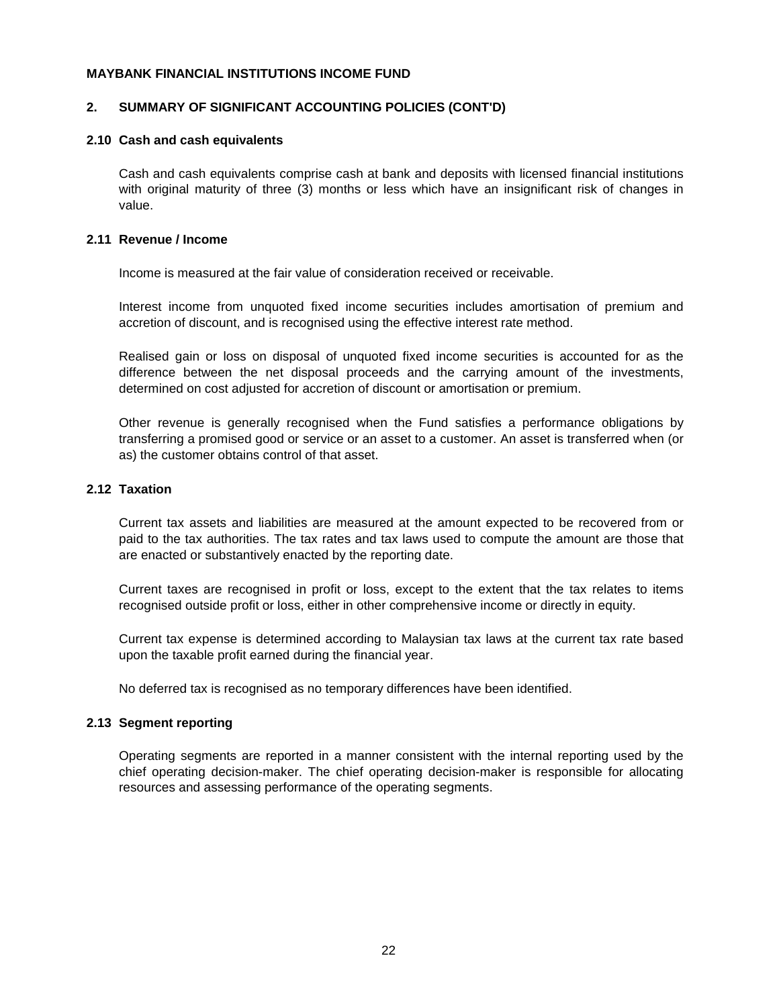#### **2. SUMMARY OF SIGNIFICANT ACCOUNTING POLICIES (CONT'D)**

#### **2.10 Cash and cash equivalents**

Cash and cash equivalents comprise cash at bank and deposits with licensed financial institutions with original maturity of three (3) months or less which have an insignificant risk of changes in value.

#### **2.11 Revenue / Income**

Income is measured at the fair value of consideration received or receivable.

Interest income from unquoted fixed income securities includes amortisation of premium and accretion of discount, and is recognised using the effective interest rate method.

Realised gain or loss on disposal of unquoted fixed income securities is accounted for as the difference between the net disposal proceeds and the carrying amount of the investments, determined on cost adjusted for accretion of discount or amortisation or premium.

Other revenue is generally recognised when the Fund satisfies a performance obligations by transferring a promised good or service or an asset to a customer. An asset is transferred when (or as) the customer obtains control of that asset.

#### **2.12 Taxation**

Current tax assets and liabilities are measured at the amount expected to be recovered from or paid to the tax authorities. The tax rates and tax laws used to compute the amount are those that are enacted or substantively enacted by the reporting date.

Current taxes are recognised in profit or loss, except to the extent that the tax relates to items recognised outside profit or loss, either in other comprehensive income or directly in equity.

Current tax expense is determined according to Malaysian tax laws at the current tax rate based upon the taxable profit earned during the financial year.

No deferred tax is recognised as no temporary differences have been identified.

#### **2.13 Segment reporting**

Operating segments are reported in a manner consistent with the internal reporting used by the chief operating decision-maker. The chief operating decision-maker is responsible for allocating resources and assessing performance of the operating segments.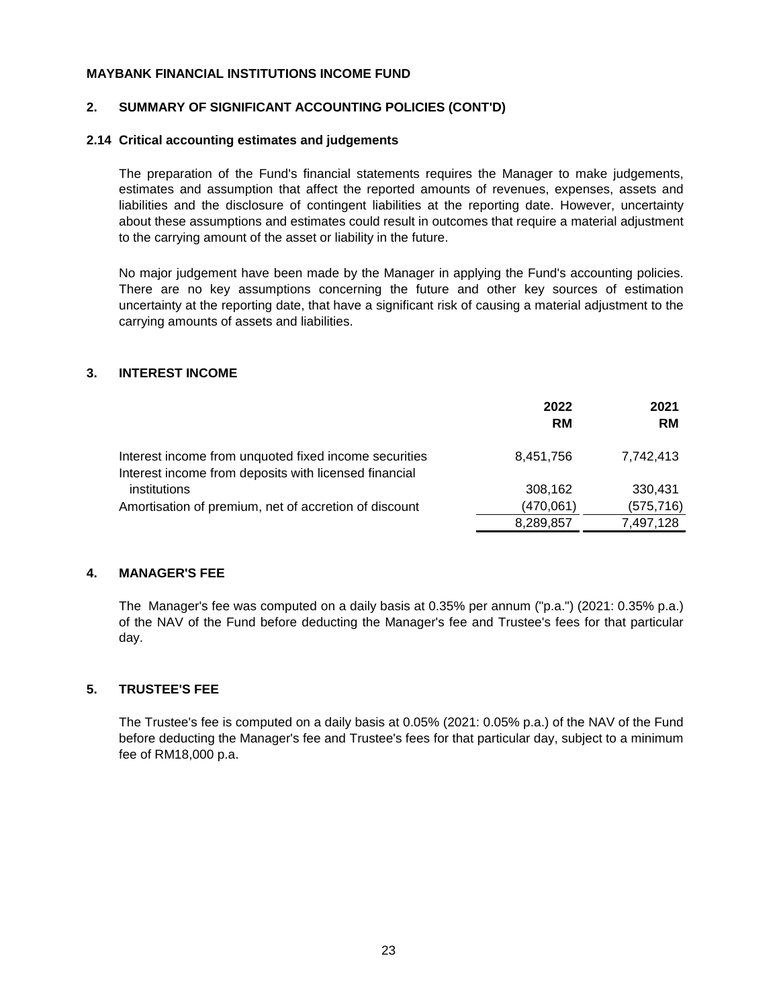#### **2. SUMMARY OF SIGNIFICANT ACCOUNTING POLICIES (CONT'D)**

#### **2.14 Critical accounting estimates and judgements**

The preparation of the Fund's financial statements requires the Manager to make judgements, estimates and assumption that affect the reported amounts of revenues, expenses, assets and liabilities and the disclosure of contingent liabilities at the reporting date. However, uncertainty about these assumptions and estimates could result in outcomes that require a material adjustment to the carrying amount of the asset or liability in the future.

No major judgement have been made by the Manager in applying the Fund's accounting policies. There are no key assumptions concerning the future and other key sources of estimation uncertainty at the reporting date, that have a significant risk of causing a material adjustment to the carrying amounts of assets and liabilities.

#### **3. INTEREST INCOME**

|                                                                                                                | 2022<br><b>RM</b> | 2021<br><b>RM</b> |
|----------------------------------------------------------------------------------------------------------------|-------------------|-------------------|
| Interest income from unquoted fixed income securities<br>Interest income from deposits with licensed financial | 8,451,756         | 7.742.413         |
| institutions                                                                                                   | 308,162           | 330.431           |
| Amortisation of premium, net of accretion of discount                                                          | (470, 061)        | (575, 716)        |
|                                                                                                                | 8,289,857         | 7,497,128         |

#### **4. MANAGER'S FEE**

The Manager's fee was computed on a daily basis at 0.35% per annum ("p.a.") (2021: 0.35% p.a.) of the NAV of the Fund before deducting the Manager's fee and Trustee's fees for that particular day.

#### **5. TRUSTEE'S FEE**

The Trustee's fee is computed on a daily basis at 0.05% (2021: 0.05% p.a.) of the NAV of the Fund before deducting the Manager's fee and Trustee's fees for that particular day, subject to a minimum fee of RM18,000 p.a.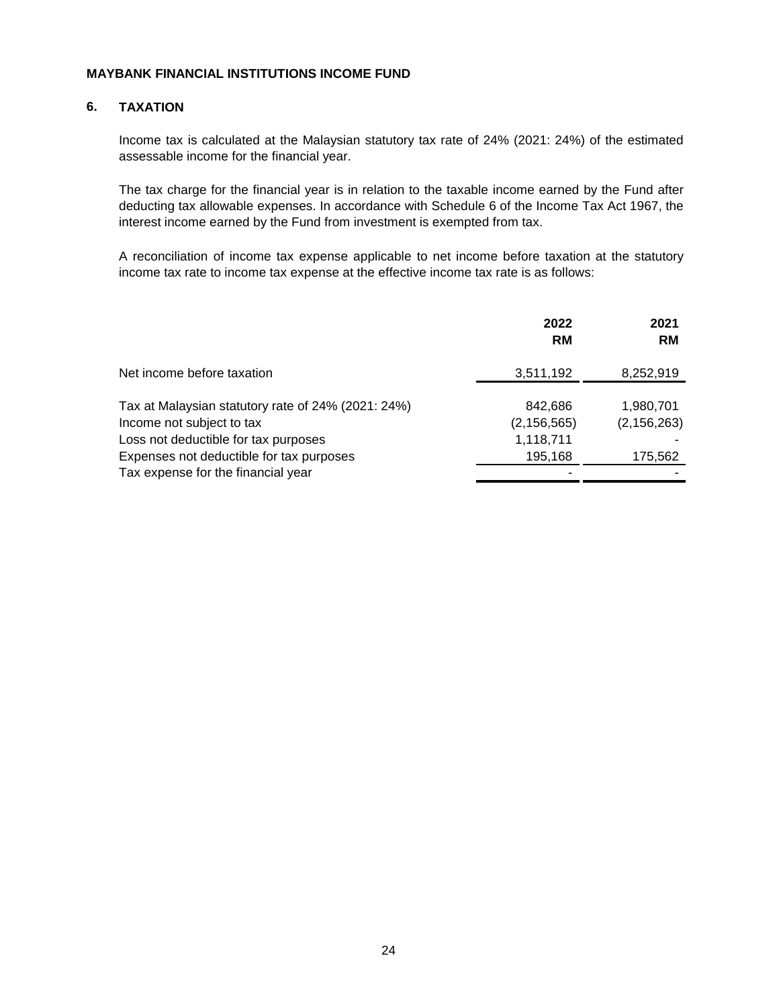#### **6. TAXATION**

Income tax is calculated at the Malaysian statutory tax rate of 24% (2021: 24%) of the estimated assessable income for the financial year.

The tax charge for the financial year is in relation to the taxable income earned by the Fund after deducting tax allowable expenses. In accordance with Schedule 6 of the Income Tax Act 1967, the interest income earned by the Fund from investment is exempted from tax.

A reconciliation of income tax expense applicable to net income before taxation at the statutory income tax rate to income tax expense at the effective income tax rate is as follows:

|                                                                                 | 2022<br><b>RM</b>        | 2021<br><b>RM</b>          |
|---------------------------------------------------------------------------------|--------------------------|----------------------------|
| Net income before taxation                                                      | 3,511,192                | 8,252,919                  |
| Tax at Malaysian statutory rate of 24% (2021: 24%)<br>Income not subject to tax | 842,686<br>(2, 156, 565) | 1,980,701<br>(2, 156, 263) |
| Loss not deductible for tax purposes                                            | 1,118,711                |                            |
| Expenses not deductible for tax purposes                                        | 195,168                  | 175,562                    |
| Tax expense for the financial year                                              |                          |                            |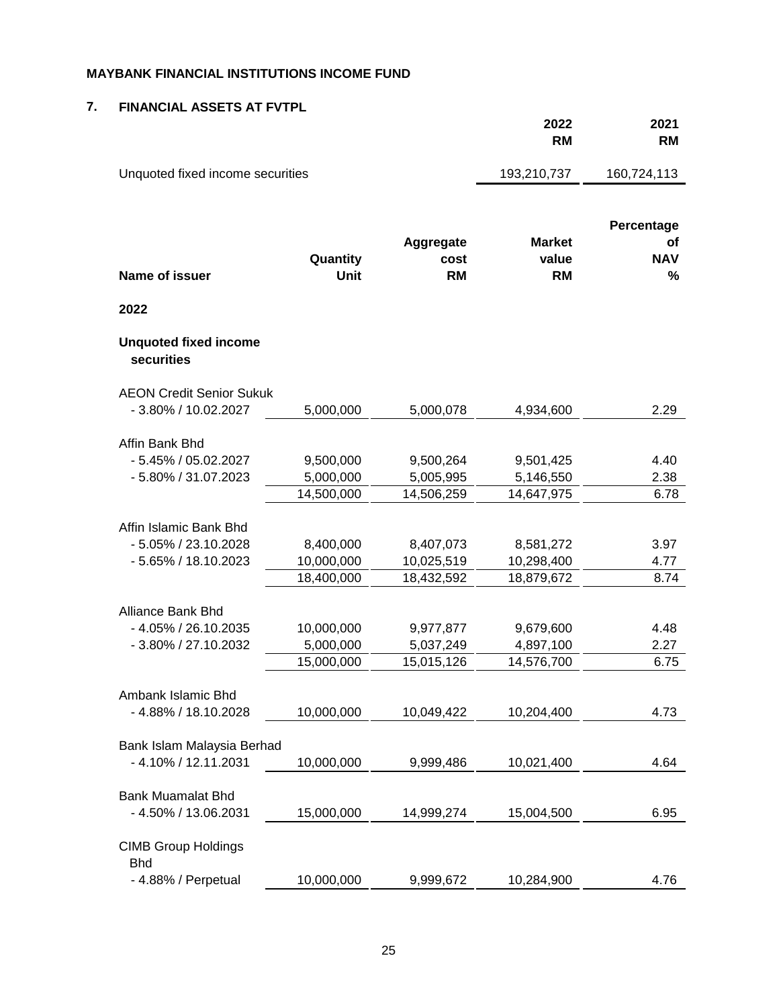#### **7. FINANCIAL ASSETS AT FVTPL**

|                                                                          |                                       |                                       | 2022<br><b>RM</b>                     | 2021<br><b>RM</b>                   |
|--------------------------------------------------------------------------|---------------------------------------|---------------------------------------|---------------------------------------|-------------------------------------|
| Unquoted fixed income securities                                         |                                       |                                       | 193,210,737                           | 160,724,113                         |
| <b>Name of issuer</b>                                                    | Quantity<br>Unit                      | Aggregate<br>cost<br><b>RM</b>        | <b>Market</b><br>value<br><b>RM</b>   | Percentage<br>of<br><b>NAV</b><br>% |
| 2022                                                                     |                                       |                                       |                                       |                                     |
| <b>Unquoted fixed income</b><br>securities                               |                                       |                                       |                                       |                                     |
| <b>AEON Credit Senior Sukuk</b><br>- 3.80% / 10.02.2027                  | 5,000,000                             | 5,000,078                             | 4,934,600                             | 2.29                                |
| Affin Bank Bhd<br>$-5.45\%$ / 05.02.2027<br>- 5.80% / 31.07.2023         | 9,500,000<br>5,000,000<br>14,500,000  | 9,500,264<br>5,005,995<br>14,506,259  | 9,501,425<br>5,146,550<br>14,647,975  | 4.40<br>2.38<br>6.78                |
| Affin Islamic Bank Bhd<br>- 5.05% / 23.10.2028<br>- 5.65% / 18.10.2023   | 8,400,000<br>10,000,000<br>18,400,000 | 8,407,073<br>10,025,519<br>18,432,592 | 8,581,272<br>10,298,400<br>18,879,672 | 3.97<br>4.77<br>8.74                |
| <b>Alliance Bank Bhd</b><br>- 4.05% / 26.10.2035<br>- 3.80% / 27.10.2032 | 10,000,000<br>5,000,000<br>15,000,000 | 9,977,877<br>5,037,249<br>15,015,126  | 9,679,600<br>4,897,100<br>14,576,700  | 4.48<br>2.27<br>6.75                |
| Ambank Islamic Bhd<br>- 4.88% / 18.10.2028                               | 10,000,000                            | 10,049,422                            | 10,204,400                            | 4.73                                |
| Bank Islam Malaysia Berhad<br>- 4.10% / 12.11.2031                       | 10,000,000                            | 9,999,486                             | 10,021,400                            | 4.64                                |
| <b>Bank Muamalat Bhd</b><br>- 4.50% / 13.06.2031                         | 15,000,000                            | 14,999,274                            | 15,004,500                            | 6.95                                |
| <b>CIMB Group Holdings</b><br><b>Bhd</b><br>- 4.88% / Perpetual          | 10,000,000                            | 9,999,672                             | 10,284,900                            | 4.76                                |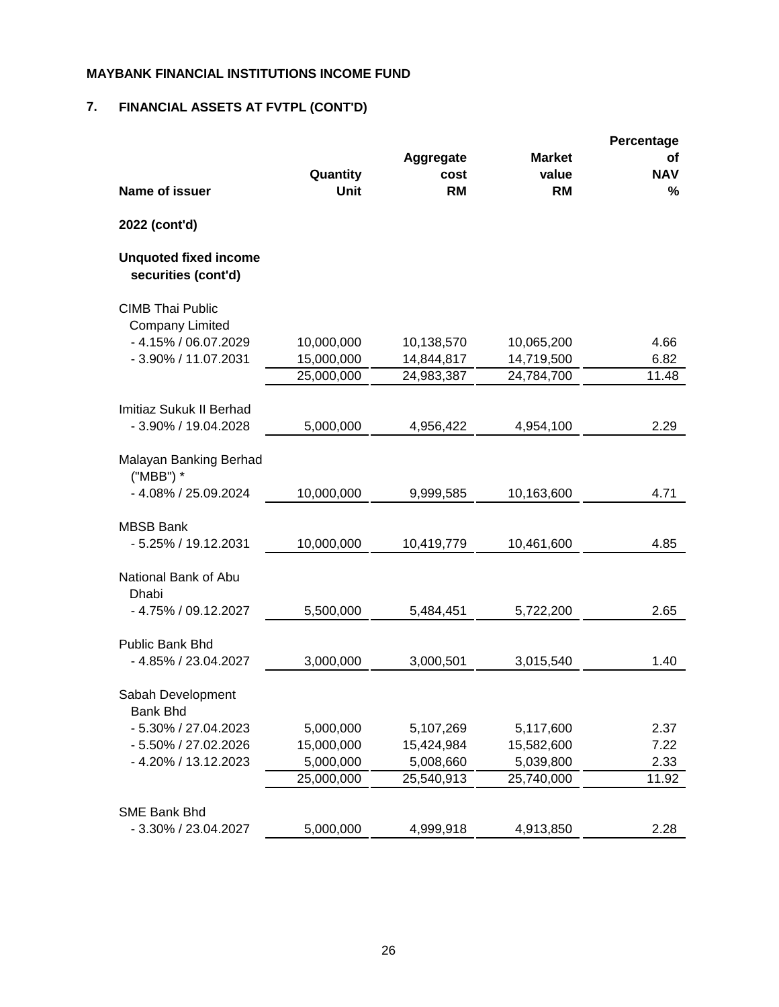# **7. FINANCIAL ASSETS AT FVTPL (CONT'D)**

|                                                     |                         |                                |                                     | Percentage            |
|-----------------------------------------------------|-------------------------|--------------------------------|-------------------------------------|-----------------------|
| Name of issuer                                      | Quantity<br><b>Unit</b> | Aggregate<br>cost<br><b>RM</b> | <b>Market</b><br>value<br><b>RM</b> | οf<br><b>NAV</b><br>% |
| 2022 (cont'd)                                       |                         |                                |                                     |                       |
| <b>Unquoted fixed income</b><br>securities (cont'd) |                         |                                |                                     |                       |
| <b>CIMB Thai Public</b><br><b>Company Limited</b>   |                         |                                |                                     |                       |
| - 4.15% / 06.07.2029                                | 10,000,000              | 10,138,570                     | 10,065,200                          | 4.66                  |
| - 3.90% / 11.07.2031                                | 15,000,000              | 14,844,817                     | 14,719,500                          | 6.82                  |
|                                                     | 25,000,000              | 24,983,387                     | 24,784,700                          | 11.48                 |
|                                                     |                         |                                |                                     |                       |
| Imitiaz Sukuk II Berhad                             |                         |                                |                                     |                       |
| - 3.90% / 19.04.2028                                | 5,000,000               | 4,956,422                      | 4,954,100                           | 2.29                  |
| Malayan Banking Berhad<br>("MBB") *                 |                         |                                |                                     |                       |
| - 4.08% / 25.09.2024                                | 10,000,000              | 9,999,585                      | 10,163,600                          | 4.71                  |
|                                                     |                         |                                |                                     |                       |
| <b>MBSB Bank</b>                                    |                         |                                |                                     |                       |
| - 5.25% / 19.12.2031                                | 10,000,000              | 10,419,779                     | 10,461,600                          | 4.85                  |
| National Bank of Abu<br>Dhabi                       |                         |                                |                                     |                       |
| - 4.75% / 09.12.2027                                | 5,500,000               | 5,484,451                      | 5,722,200                           | 2.65                  |
| Public Bank Bhd                                     |                         |                                |                                     |                       |
| - 4.85% / 23.04.2027                                | 3,000,000               | 3,000,501                      | 3,015,540                           | 1.40                  |
|                                                     |                         |                                |                                     |                       |
| Sabah Development<br>Bank Bhd                       |                         |                                |                                     |                       |
| - 5.30% / 27.04.2023                                | 5,000,000               | 5,107,269                      | 5,117,600                           | 2.37                  |
| - 5.50% / 27.02.2026                                | 15,000,000              | 15,424,984                     | 15,582,600                          | 7.22                  |
| - 4.20% / 13.12.2023                                | 5,000,000               | 5,008,660                      | 5,039,800                           | 2.33                  |
|                                                     | 25,000,000              | 25,540,913                     | 25,740,000                          | 11.92                 |
|                                                     |                         |                                |                                     |                       |
| <b>SME Bank Bhd</b>                                 |                         |                                |                                     |                       |
| - 3.30% / 23.04.2027                                | 5,000,000               | 4,999,918                      | 4,913,850                           | 2.28                  |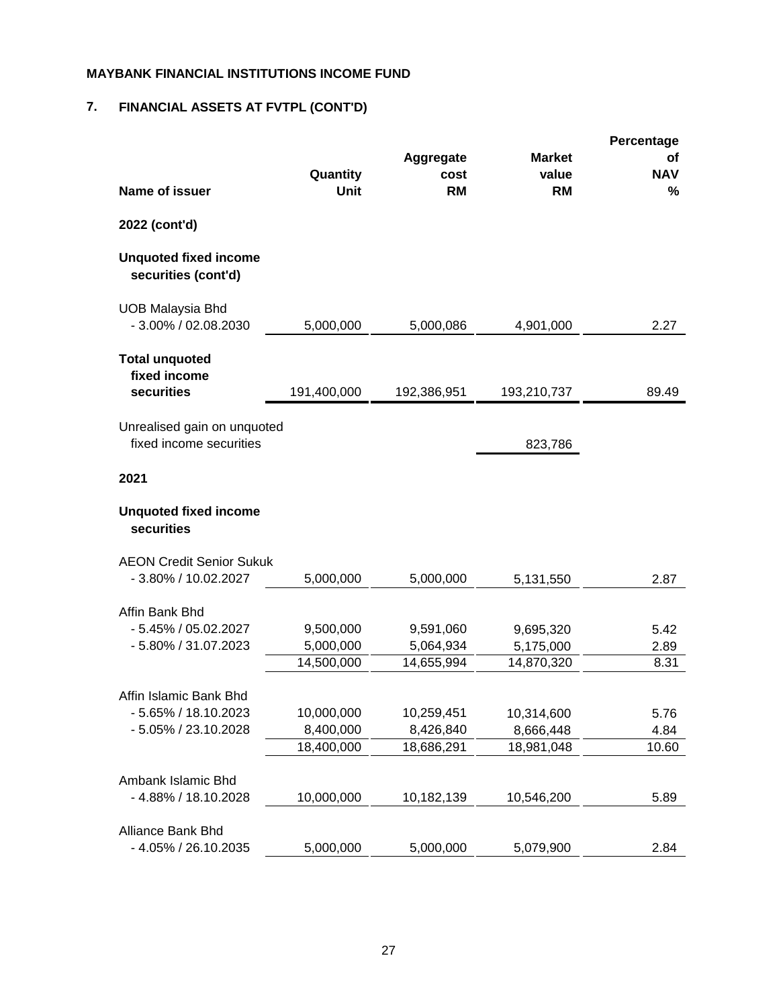# **7. FINANCIAL ASSETS AT FVTPL (CONT'D)**

| <b>Name of issuer</b>                                  | Quantity<br><b>Unit</b> | Aggregate<br>cost<br><b>RM</b> | <b>Market</b><br>value<br><b>RM</b> | Percentage<br>Οf<br><b>NAV</b><br>% |
|--------------------------------------------------------|-------------------------|--------------------------------|-------------------------------------|-------------------------------------|
|                                                        |                         |                                |                                     |                                     |
| 2022 (cont'd)                                          |                         |                                |                                     |                                     |
| <b>Unquoted fixed income</b><br>securities (cont'd)    |                         |                                |                                     |                                     |
| <b>UOB Malaysia Bhd</b><br>$-3.00\%$ / 02.08.2030      | 5,000,000               | 5,000,086                      | 4,901,000                           | 2.27                                |
| <b>Total unquoted</b><br>fixed income<br>securities    | 191,400,000             | 192,386,951                    | 193,210,737                         | 89.49                               |
|                                                        |                         |                                |                                     |                                     |
| Unrealised gain on unquoted<br>fixed income securities |                         |                                | 823,786                             |                                     |
| 2021                                                   |                         |                                |                                     |                                     |
| <b>Unquoted fixed income</b><br>securities             |                         |                                |                                     |                                     |
| <b>AEON Credit Senior Sukuk</b>                        |                         |                                |                                     |                                     |
| - 3.80% / 10.02.2027                                   | 5,000,000               | 5,000,000                      | 5,131,550                           | 2.87                                |
| Affin Bank Bhd                                         |                         |                                |                                     |                                     |
| $-5.45\%$ / 05.02.2027                                 | 9,500,000               | 9,591,060                      | 9,695,320                           | 5.42                                |
| - 5.80% / 31.07.2023                                   | 5,000,000               | 5,064,934                      | 5,175,000                           | 2.89                                |
|                                                        | 14,500,000              | 14,655,994                     | 14,870,320                          | 8.31                                |
|                                                        |                         |                                |                                     |                                     |
| Affin Islamic Bank Bhd                                 |                         |                                |                                     |                                     |
| - 5.65% / 18.10.2023                                   | 10,000,000              | 10,259,451                     | 10,314,600                          | 5.76                                |
| - 5.05% / 23.10.2028                                   | 8,400,000<br>18,400,000 | 8,426,840                      | 8,666,448                           | 4.84                                |
|                                                        |                         | 18,686,291                     | 18,981,048                          | 10.60                               |
| Ambank Islamic Bhd                                     |                         |                                |                                     |                                     |
| - 4.88% / 18.10.2028                                   | 10,000,000              | 10,182,139                     | 10,546,200                          | 5.89                                |
|                                                        |                         |                                |                                     |                                     |
| Alliance Bank Bhd                                      |                         |                                |                                     |                                     |
| - 4.05% / 26.10.2035                                   | 5,000,000               | 5,000,000                      | 5,079,900                           | 2.84                                |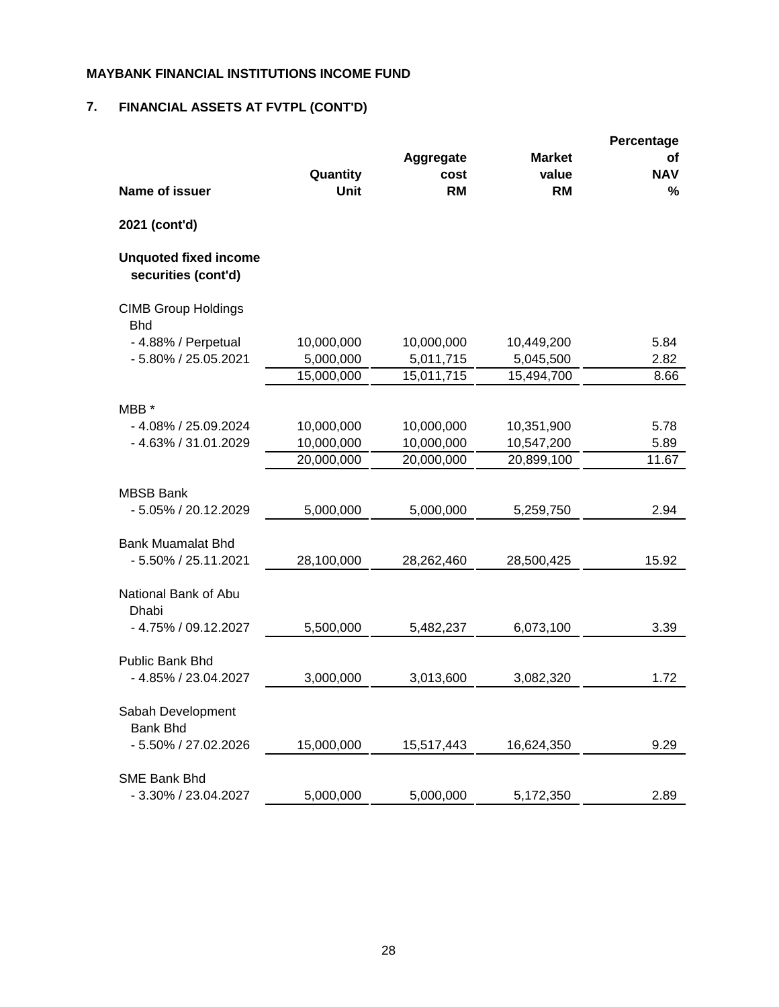## **7. FINANCIAL ASSETS AT FVTPL (CONT'D)**

|                                                     |                          |                          |                    | Percentage      |
|-----------------------------------------------------|--------------------------|--------------------------|--------------------|-----------------|
|                                                     |                          | Aggregate                | <b>Market</b>      | οf              |
| <b>Name of issuer</b>                               | Quantity<br>Unit         | cost<br><b>RM</b>        | value<br><b>RM</b> | <b>NAV</b><br>% |
| 2021 (cont'd)                                       |                          |                          |                    |                 |
|                                                     |                          |                          |                    |                 |
| <b>Unquoted fixed income</b><br>securities (cont'd) |                          |                          |                    |                 |
| <b>CIMB Group Holdings</b><br><b>Bhd</b>            |                          |                          |                    |                 |
| - 4.88% / Perpetual                                 | 10,000,000               | 10,000,000               | 10,449,200         | 5.84            |
| - 5.80% / 25.05.2021                                | 5,000,000                | 5,011,715                | 5,045,500          | 2.82            |
|                                                     | 15,000,000               | 15,011,715               | 15,494,700         | 8.66            |
|                                                     |                          |                          |                    |                 |
| MBB *<br>- 4.08% / 25.09.2024                       |                          |                          | 10,351,900         |                 |
| - 4.63% / 31.01.2029                                | 10,000,000<br>10,000,000 | 10,000,000<br>10,000,000 | 10,547,200         | 5.78<br>5.89    |
|                                                     | 20,000,000               | 20,000,000               | 20,899,100         | 11.67           |
|                                                     |                          |                          |                    |                 |
| <b>MBSB Bank</b>                                    |                          |                          |                    |                 |
| - 5.05% / 20.12.2029                                | 5,000,000                | 5,000,000                | 5,259,750          | 2.94            |
| <b>Bank Muamalat Bhd</b>                            |                          |                          |                    |                 |
| - 5.50% / 25.11.2021                                | 28,100,000               | 28,262,460               | 28,500,425         | 15.92           |
|                                                     |                          |                          |                    |                 |
| National Bank of Abu<br>Dhabi                       |                          |                          |                    |                 |
| - 4.75% / 09.12.2027                                | 5,500,000                | 5,482,237                | 6,073,100          | 3.39            |
|                                                     |                          |                          |                    |                 |
| <b>Public Bank Bhd</b>                              |                          |                          |                    |                 |
| - 4.85% / 23.04.2027                                | 3,000,000                | 3,013,600                | 3,082,320          | 1.72            |
| Sabah Development<br><b>Bank Bhd</b>                |                          |                          |                    |                 |
| - 5.50% / 27.02.2026                                | 15,000,000               | 15,517,443               | 16,624,350         | 9.29            |
|                                                     |                          |                          |                    |                 |
| <b>SME Bank Bhd</b><br>- 3.30% / 23.04.2027         | 5,000,000                | 5,000,000                | 5,172,350          | 2.89            |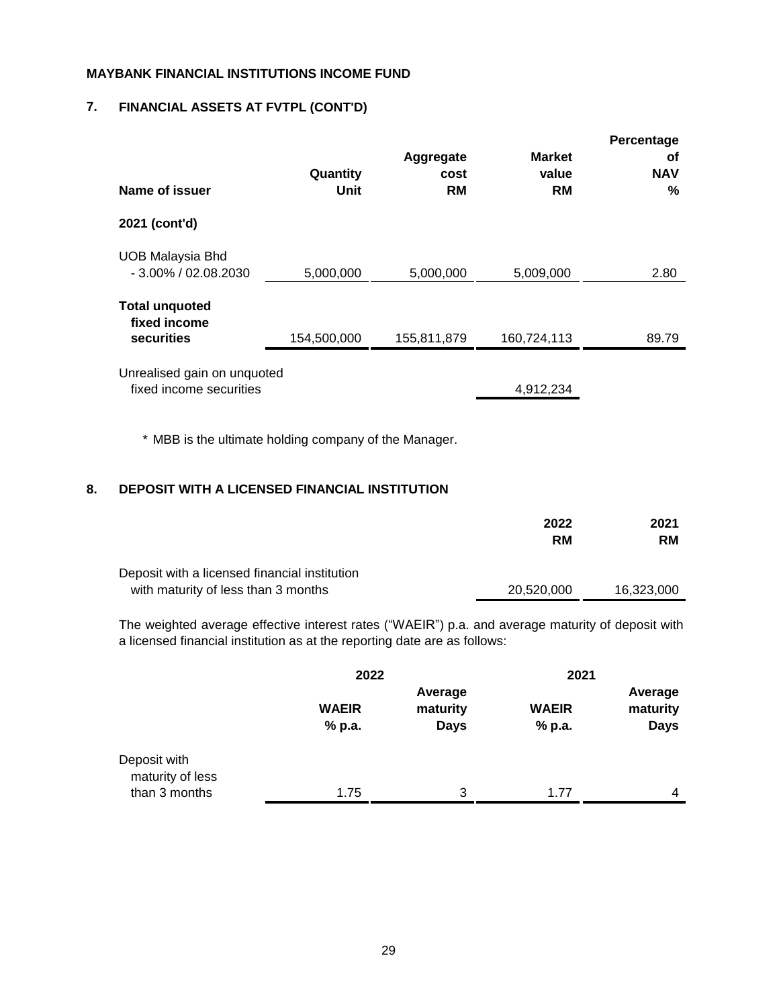## **7. FINANCIAL ASSETS AT FVTPL (CONT'D)**

| Name of issuer                                         | Quantity<br>Unit | Aggregate<br>cost<br><b>RM</b> | <b>Market</b><br>value<br><b>RM</b> | Percentage<br>οf<br><b>NAV</b><br>℅ |
|--------------------------------------------------------|------------------|--------------------------------|-------------------------------------|-------------------------------------|
| 2021 (cont'd)                                          |                  |                                |                                     |                                     |
| <b>UOB Malaysia Bhd</b><br>$-3.00\%$ / 02.08.2030      | 5,000,000        | 5,000,000                      | 5,009,000                           | 2.80                                |
| <b>Total unquoted</b><br>fixed income<br>securities    | 154,500,000      | 155,811,879                    | 160,724,113                         | 89.79                               |
| Unrealised gain on unquoted<br>fixed income securities |                  |                                | 4,912,234                           |                                     |

\* MBB is the ultimate holding company of the Manager.

### **8. DEPOSIT WITH A LICENSED FINANCIAL INSTITUTION**

|                                                                                      | 2022<br><b>RM</b> | 2021<br><b>RM</b> |
|--------------------------------------------------------------------------------------|-------------------|-------------------|
| Deposit with a licensed financial institution<br>with maturity of less than 3 months | 20.520.000        | 16.323.000        |

The weighted average effective interest rates ("WAEIR") p.a. and average maturity of deposit with a licensed financial institution as at the reporting date are as follows:

|                                                   | 2022                   |                                    | 2021                   |                                    |
|---------------------------------------------------|------------------------|------------------------------------|------------------------|------------------------------------|
|                                                   | <b>WAEIR</b><br>% p.a. | Average<br>maturity<br><b>Days</b> | <b>WAEIR</b><br>% p.a. | Average<br>maturity<br><b>Days</b> |
| Deposit with<br>maturity of less<br>than 3 months | 1.75                   | 3                                  | 1.77                   | 4                                  |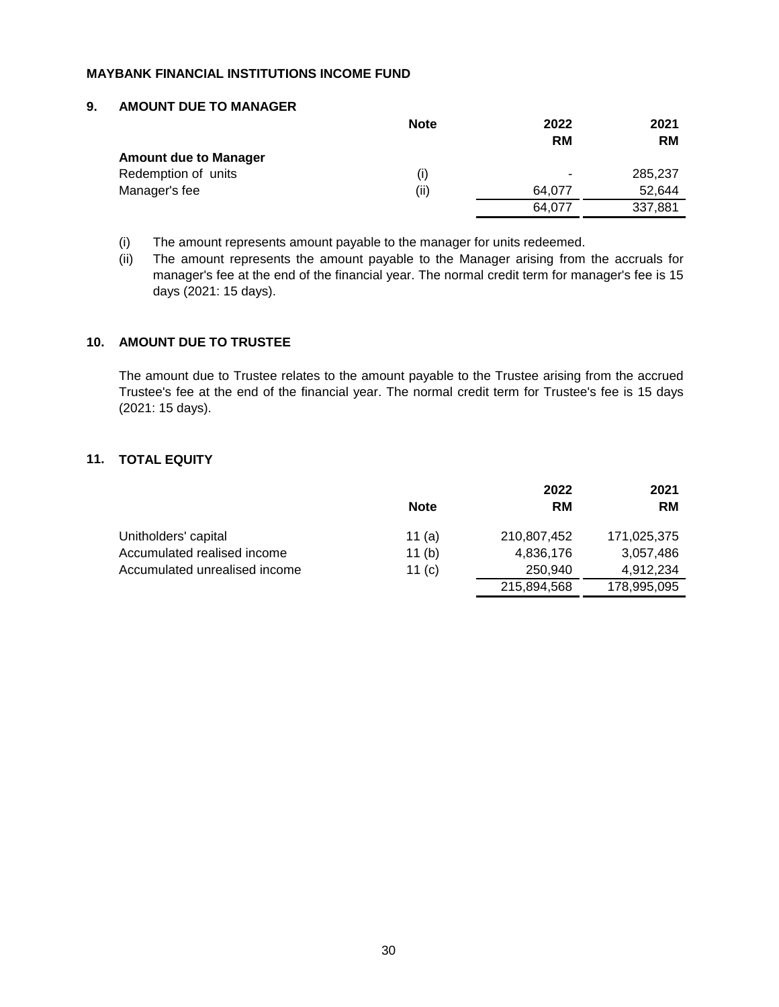#### **9. AMOUNT DUE TO MANAGER**

|                              | <b>Note</b> | 2022      | 2021      |
|------------------------------|-------------|-----------|-----------|
|                              |             | <b>RM</b> | <b>RM</b> |
| <b>Amount due to Manager</b> |             |           |           |
| Redemption of units          | (i)         | ٠         | 285,237   |
| Manager's fee                | (ii)        | 64.077    | 52.644    |
|                              |             | 64.077    | 337,881   |

(i) The amount represents amount payable to the manager for units redeemed.

(ii) The amount represents the amount payable to the Manager arising from the accruals for manager's fee at the end of the financial year. The normal credit term for manager's fee is 15 days (2021: 15 days).

#### **10. AMOUNT DUE TO TRUSTEE**

The amount due to Trustee relates to the amount payable to the Trustee arising from the accrued Trustee's fee at the end of the financial year. The normal credit term for Trustee's fee is 15 days (2021: 15 days).

#### **11. TOTAL EQUITY**

|                               |             | 2022        | 2021        |
|-------------------------------|-------------|-------------|-------------|
|                               | <b>Note</b> | <b>RM</b>   | <b>RM</b>   |
| Unitholders' capital          | 11 $(a)$    | 210,807,452 | 171,025,375 |
| Accumulated realised income   | 11(b)       | 4,836,176   | 3,057,486   |
| Accumulated unrealised income | 11 $(c)$    | 250.940     | 4.912.234   |
|                               |             | 215,894,568 | 178,995,095 |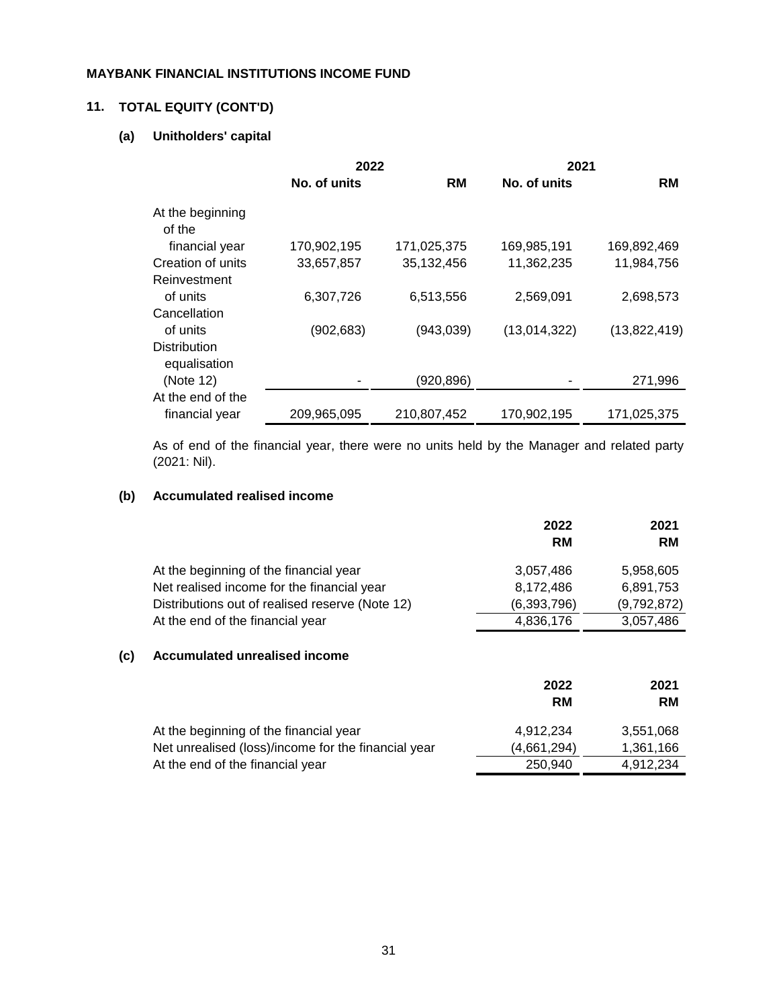## **11. TOTAL EQUITY (CONT'D)**

## **(a) Unitholders' capital**

|                                     | 2022         |             | 2021         |              |
|-------------------------------------|--------------|-------------|--------------|--------------|
|                                     | No. of units | <b>RM</b>   | No. of units | <b>RM</b>    |
| At the beginning<br>of the          |              |             |              |              |
| financial year                      | 170,902,195  | 171,025,375 | 169,985,191  | 169,892,469  |
| Creation of units                   | 33,657,857   | 35,132,456  | 11,362,235   | 11,984,756   |
| Reinvestment                        |              |             |              |              |
| of units                            | 6,307,726    | 6,513,556   | 2,569,091    | 2,698,573    |
| Cancellation                        |              |             |              |              |
| of units                            | (902, 683)   | (943,039)   | (13,014,322) | (13,822,419) |
| <b>Distribution</b><br>equalisation |              |             |              |              |
| (Note 12)                           |              | (920, 896)  |              | 271,996      |
| At the end of the                   |              |             |              |              |
| financial year                      | 209,965,095  | 210,807,452 | 170,902,195  | 171,025,375  |

As of end of the financial year, there were no units held by the Manager and related party (2021: Nil).

## **(b) Accumulated realised income**

|                                                 | 2022<br><b>RM</b> | 2021<br><b>RM</b> |
|-------------------------------------------------|-------------------|-------------------|
| At the beginning of the financial year          | 3,057,486         | 5,958,605         |
| Net realised income for the financial year      | 8,172,486         | 6,891,753         |
| Distributions out of realised reserve (Note 12) | (6, 393, 796)     | (9,792,872)       |
| At the end of the financial year                | 4,836,176         | 3,057,486         |

#### **(c) Accumulated unrealised income**

|                                                     | 2022<br><b>RM</b> | 2021<br><b>RM</b> |
|-----------------------------------------------------|-------------------|-------------------|
| At the beginning of the financial year              | 4.912.234         | 3,551,068         |
| Net unrealised (loss)/income for the financial year | (4,661,294)       | 1,361,166         |
| At the end of the financial year                    | 250.940           | 4.912.234         |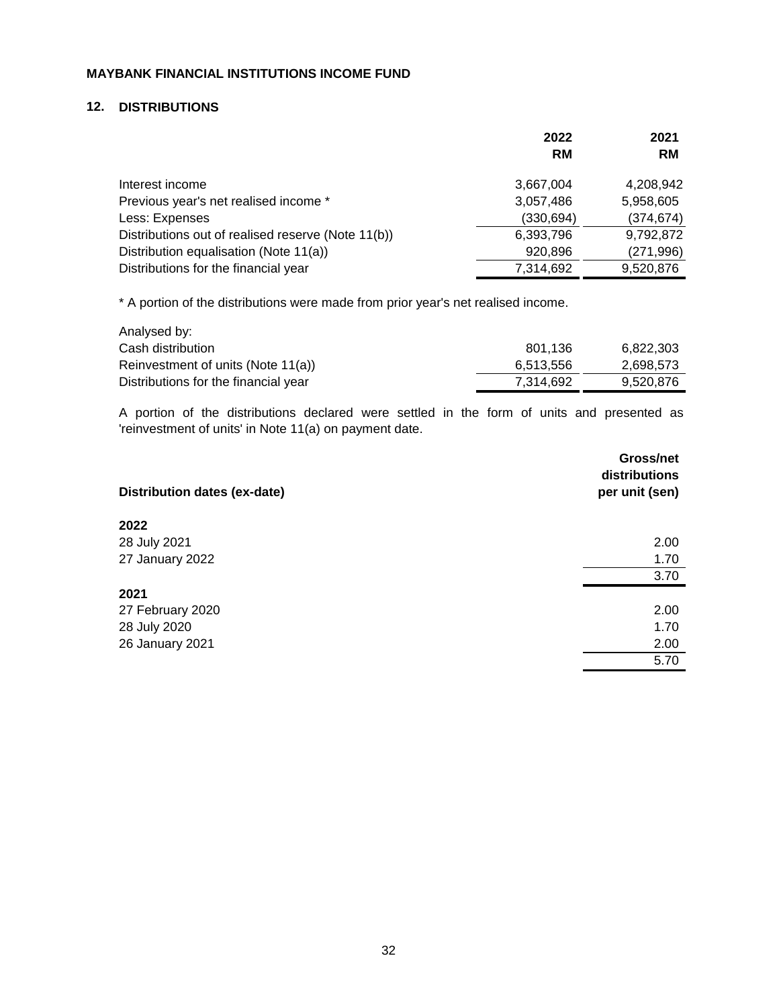#### **12. DISTRIBUTIONS**

|                                                    | 2022       | 2021       |
|----------------------------------------------------|------------|------------|
|                                                    | <b>RM</b>  | <b>RM</b>  |
| Interest income                                    | 3,667,004  | 4,208,942  |
| Previous year's net realised income *              | 3,057,486  | 5,958,605  |
| Less: Expenses                                     | (330, 694) | (374, 674) |
| Distributions out of realised reserve (Note 11(b)) | 6,393,796  | 9,792,872  |
| Distribution equalisation (Note 11(a))             | 920,896    | (271, 996) |
| Distributions for the financial year               | 7,314,692  | 9,520,876  |

\* A portion of the distributions were made from prior year's net realised income.

| Analysed by:                         |           |           |
|--------------------------------------|-----------|-----------|
| Cash distribution                    | 801.136   | 6,822,303 |
| Reinvestment of units (Note 11(a))   | 6,513,556 | 2,698,573 |
| Distributions for the financial year | 7.314.692 | 9.520.876 |

A portion of the distributions declared were settled in the form of units and presented as 'reinvestment of units' in Note 11(a) on payment date.

| Distribution dates (ex-date) | Gross/net<br>distributions<br>per unit (sen) |
|------------------------------|----------------------------------------------|
| 2022                         |                                              |
| 28 July 2021                 | 2.00                                         |
| 27 January 2022              | 1.70                                         |
|                              | 3.70                                         |
| 2021                         |                                              |
| 27 February 2020             | 2.00                                         |
| 28 July 2020                 | 1.70                                         |
| 26 January 2021              | 2.00                                         |
|                              | 5.70                                         |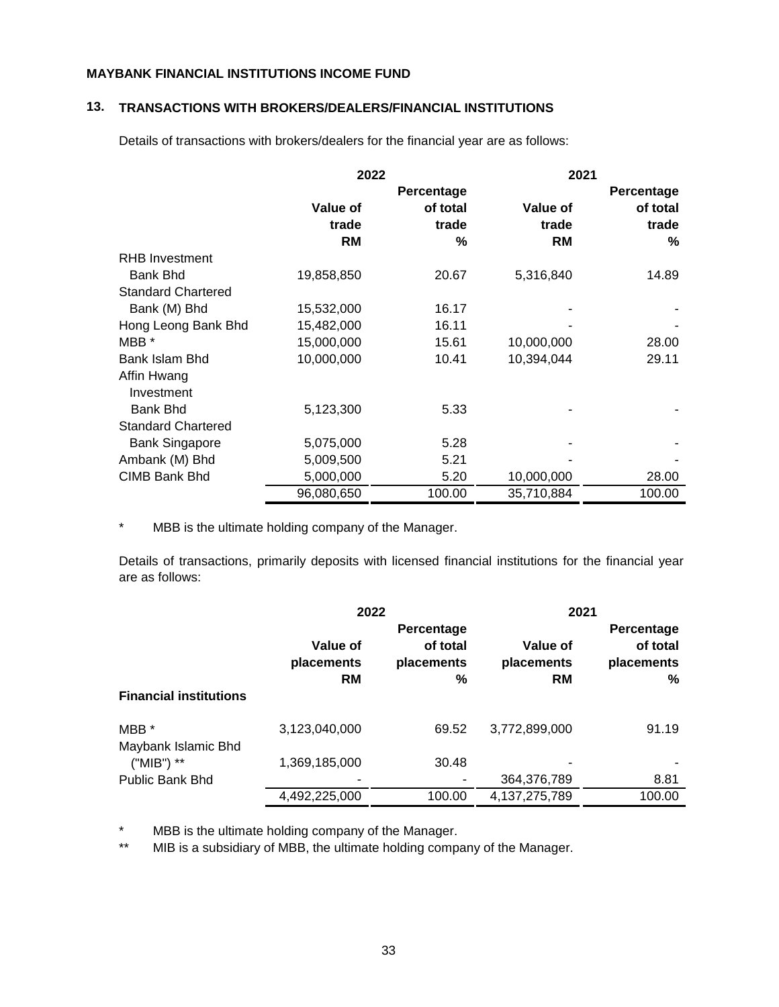#### **13. TRANSACTIONS WITH BROKERS/DEALERS/FINANCIAL INSTITUTIONS**

Details of transactions with brokers/dealers for the financial year are as follows:

|                           | 2022       |            | 2021       |            |
|---------------------------|------------|------------|------------|------------|
|                           |            | Percentage |            | Percentage |
|                           | Value of   | of total   | Value of   | of total   |
|                           | trade      | trade      | trade      | trade      |
|                           | <b>RM</b>  | %          | <b>RM</b>  | %          |
| <b>RHB Investment</b>     |            |            |            |            |
| <b>Bank Bhd</b>           | 19,858,850 | 20.67      | 5,316,840  | 14.89      |
| <b>Standard Chartered</b> |            |            |            |            |
| Bank (M) Bhd              | 15,532,000 | 16.17      |            |            |
| Hong Leong Bank Bhd       | 15,482,000 | 16.11      |            |            |
| MBB *                     | 15,000,000 | 15.61      | 10,000,000 | 28.00      |
| Bank Islam Bhd            | 10,000,000 | 10.41      | 10,394,044 | 29.11      |
| Affin Hwang               |            |            |            |            |
| Investment                |            |            |            |            |
| <b>Bank Bhd</b>           | 5,123,300  | 5.33       |            |            |
| <b>Standard Chartered</b> |            |            |            |            |
| <b>Bank Singapore</b>     | 5,075,000  | 5.28       |            |            |
| Ambank (M) Bhd            | 5,009,500  | 5.21       |            |            |
| CIMB Bank Bhd             | 5,000,000  | 5.20       | 10,000,000 | 28.00      |
|                           | 96,080,650 | 100.00     | 35,710,884 | 100.00     |

\* MBB is the ultimate holding company of the Manager.

Details of transactions, primarily deposits with licensed financial institutions for the financial year are as follows:

|                               | 2022          |            | 2021             |            |
|-------------------------------|---------------|------------|------------------|------------|
|                               |               | Percentage |                  | Percentage |
|                               | Value of      | of total   | Value of         | of total   |
|                               | placements    | placements | placements       | placements |
|                               | <b>RM</b>     | %          | <b>RM</b>        | %          |
| <b>Financial institutions</b> |               |            |                  |            |
| MBB *                         | 3,123,040,000 | 69.52      | 3,772,899,000    | 91.19      |
| Maybank Islamic Bhd           |               |            |                  |            |
| ("MIB") **                    | 1,369,185,000 | 30.48      | -                |            |
| <b>Public Bank Bhd</b>        |               |            | 364,376,789      | 8.81       |
|                               | 4,492,225,000 | 100.00     | 4, 137, 275, 789 | 100.00     |

\* MBB is the ultimate holding company of the Manager.

\*\* MIB is a subsidiary of MBB, the ultimate holding company of the Manager.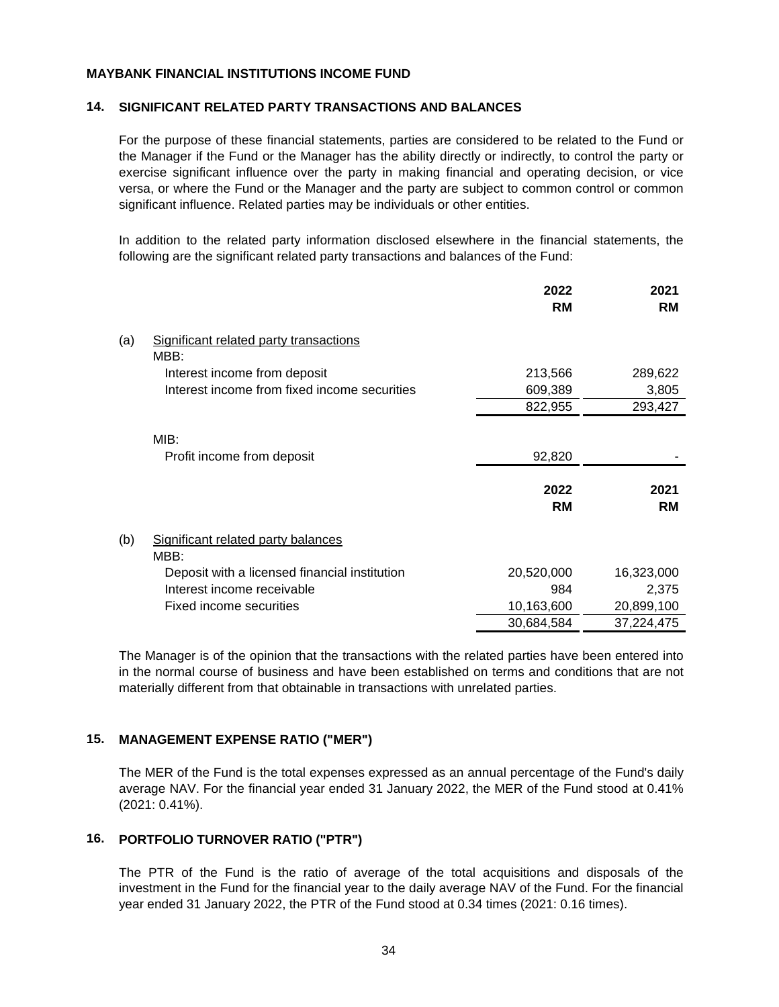#### **14. SIGNIFICANT RELATED PARTY TRANSACTIONS AND BALANCES**

For the purpose of these financial statements, parties are considered to be related to the Fund or the Manager if the Fund or the Manager has the ability directly or indirectly, to control the party or exercise significant influence over the party in making financial and operating decision, or vice versa, or where the Fund or the Manager and the party are subject to common control or common significant influence. Related parties may be individuals or other entities.

In addition to the related party information disclosed elsewhere in the financial statements, the following are the significant related party transactions and balances of the Fund:

|     |                                                | 2022<br><b>RM</b> | 2021<br><b>RM</b> |
|-----|------------------------------------------------|-------------------|-------------------|
| (a) | Significant related party transactions<br>MBB: |                   |                   |
|     | Interest income from deposit                   | 213,566           | 289,622           |
|     | Interest income from fixed income securities   | 609,389           | 3,805             |
|     |                                                | 822,955           | 293,427           |
|     | MIB:                                           |                   |                   |
|     | Profit income from deposit                     | 92,820            |                   |
|     |                                                | 2022<br><b>RM</b> | 2021<br><b>RM</b> |
| (b) | Significant related party balances<br>MBB:     |                   |                   |
|     | Deposit with a licensed financial institution  | 20,520,000        | 16,323,000        |
|     | Interest income receivable                     | 984               | 2,375             |
|     | Fixed income securities                        | 10,163,600        | 20,899,100        |
|     |                                                | 30,684,584        | 37,224,475        |

The Manager is of the opinion that the transactions with the related parties have been entered into in the normal course of business and have been established on terms and conditions that are not materially different from that obtainable in transactions with unrelated parties.

#### **15. MANAGEMENT EXPENSE RATIO ("MER")**

The MER of the Fund is the total expenses expressed as an annual percentage of the Fund's daily average NAV. For the financial year ended 31 January 2022, the MER of the Fund stood at 0.41% (2021: 0.41%).

#### **16. PORTFOLIO TURNOVER RATIO ("PTR")**

The PTR of the Fund is the ratio of average of the total acquisitions and disposals of the investment in the Fund for the financial year to the daily average NAV of the Fund. For the financial year ended 31 January 2022, the PTR of the Fund stood at 0.34 times (2021: 0.16 times).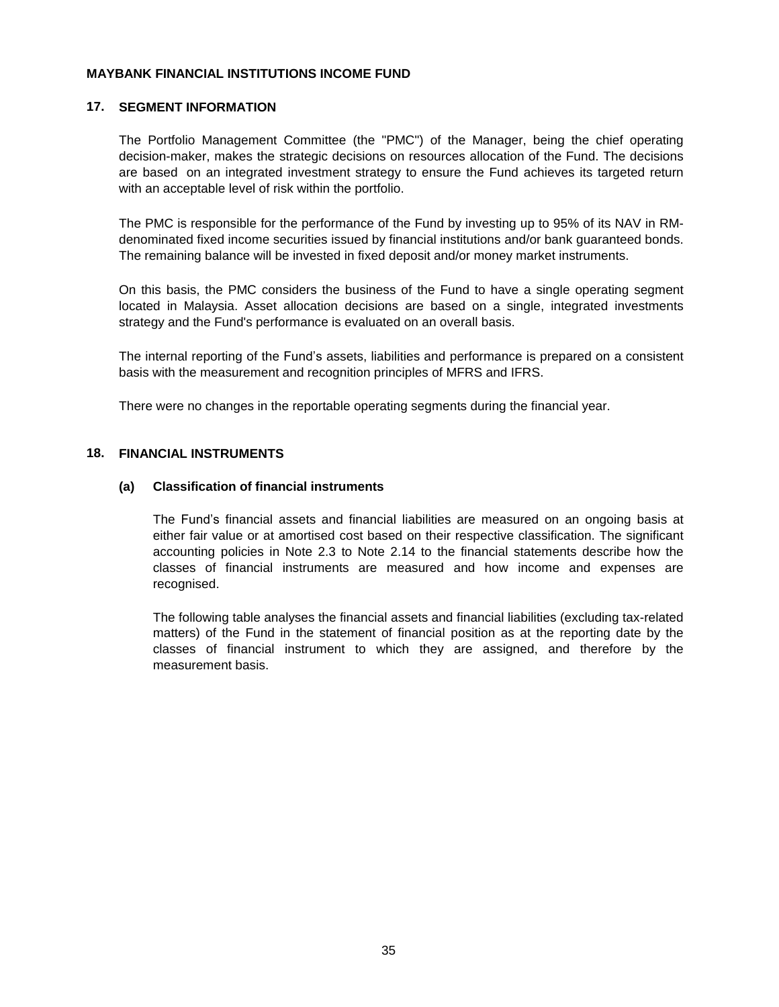#### **17. SEGMENT INFORMATION**

The Portfolio Management Committee (the "PMC") of the Manager, being the chief operating decision-maker, makes the strategic decisions on resources allocation of the Fund. The decisions are based on an integrated investment strategy to ensure the Fund achieves its targeted return with an acceptable level of risk within the portfolio.

The PMC is responsible for the performance of the Fund by investing up to 95% of its NAV in RMdenominated fixed income securities issued by financial institutions and/or bank guaranteed bonds. The remaining balance will be invested in fixed deposit and/or money market instruments.

On this basis, the PMC considers the business of the Fund to have a single operating segment located in Malaysia. Asset allocation decisions are based on a single, integrated investments strategy and the Fund's performance is evaluated on an overall basis.

The internal reporting of the Fund's assets, liabilities and performance is prepared on a consistent basis with the measurement and recognition principles of MFRS and IFRS.

There were no changes in the reportable operating segments during the financial year.

#### **18. FINANCIAL INSTRUMENTS**

#### **(a) Classification of financial instruments**

The Fund's financial assets and financial liabilities are measured on an ongoing basis at either fair value or at amortised cost based on their respective classification. The significant accounting policies in Note 2.3 to Note 2.14 to the financial statements describe how the classes of financial instruments are measured and how income and expenses are recognised.

The following table analyses the financial assets and financial liabilities (excluding tax-related matters) of the Fund in the statement of financial position as at the reporting date by the classes of financial instrument to which they are assigned, and therefore by the measurement basis.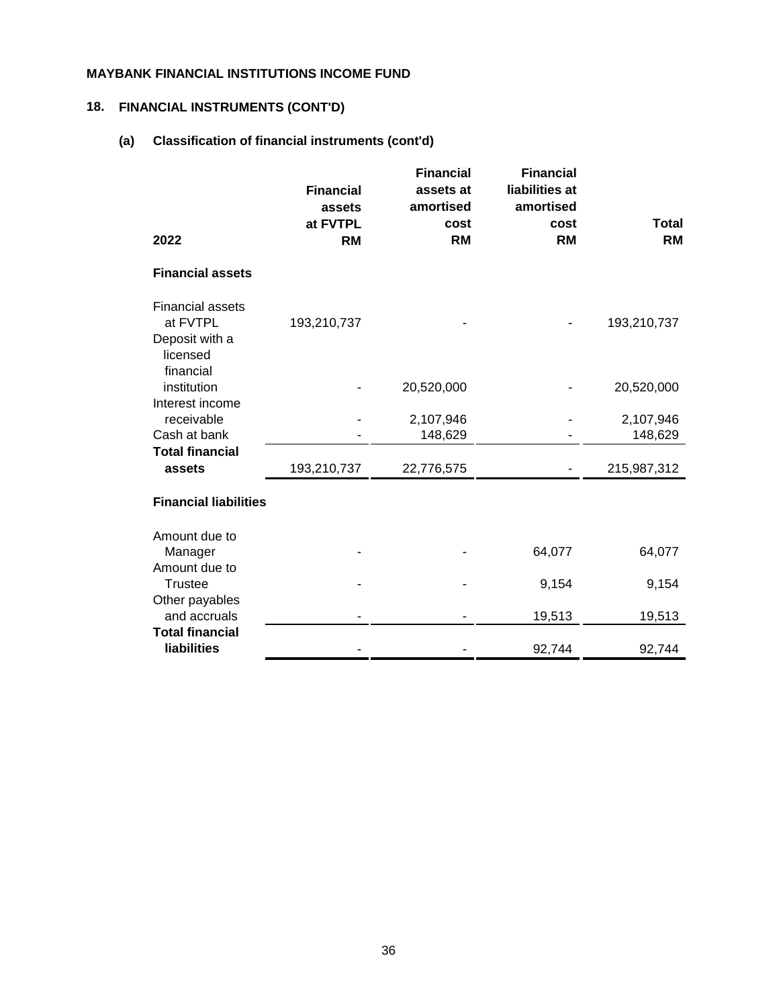## **18. FINANCIAL INSTRUMENTS (CONT'D)**

## **(a) Classification of financial instruments (cont'd)**

| 2022                                                                           | <b>Financial</b><br>assets<br>at FVTPL<br><b>RM</b> | <b>Financial</b><br>assets at<br>amortised<br>cost<br><b>RM</b> | <b>Financial</b><br>liabilities at<br>amortised<br>cost<br><b>RM</b> | <b>Total</b><br><b>RM</b> |
|--------------------------------------------------------------------------------|-----------------------------------------------------|-----------------------------------------------------------------|----------------------------------------------------------------------|---------------------------|
| <b>Financial assets</b>                                                        |                                                     |                                                                 |                                                                      |                           |
| <b>Financial assets</b><br>at FVTPL<br>Deposit with a<br>licensed<br>financial | 193,210,737                                         |                                                                 |                                                                      | 193,210,737               |
| institution                                                                    |                                                     | 20,520,000                                                      |                                                                      | 20,520,000                |
| Interest income<br>receivable<br>Cash at bank                                  |                                                     | 2,107,946<br>148,629                                            |                                                                      | 2,107,946<br>148,629      |
| <b>Total financial</b><br>assets                                               | 193,210,737                                         | 22,776,575                                                      |                                                                      | 215,987,312               |
| <b>Financial liabilities</b>                                                   |                                                     |                                                                 |                                                                      |                           |
| Amount due to<br>Manager                                                       |                                                     |                                                                 | 64,077                                                               | 64,077                    |
| Amount due to<br><b>Trustee</b>                                                |                                                     |                                                                 | 9,154                                                                | 9,154                     |
| Other payables<br>and accruals                                                 |                                                     |                                                                 | 19,513                                                               | 19,513                    |
| <b>Total financial</b>                                                         |                                                     |                                                                 |                                                                      |                           |
| <b>liabilities</b>                                                             |                                                     |                                                                 | 92,744                                                               | 92,744                    |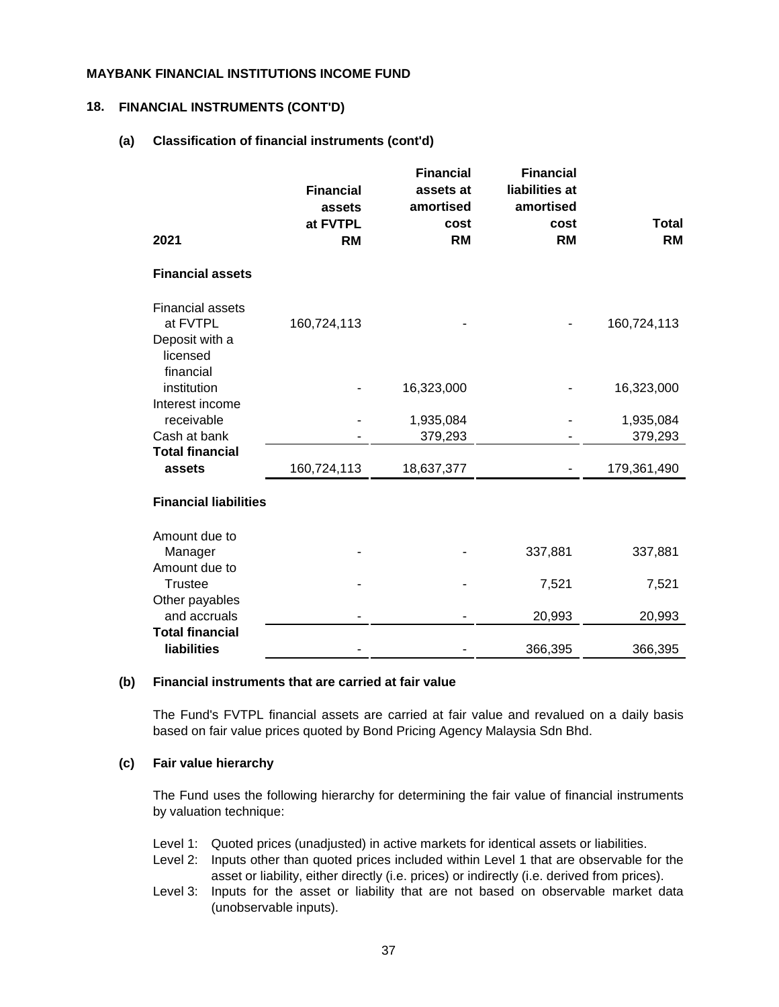#### **18. FINANCIAL INSTRUMENTS (CONT'D)**

#### **(a) Classification of financial instruments (cont'd)**

| 2021                                                                           | <b>Financial</b><br>assets<br>at FVTPL<br><b>RM</b> | <b>Financial</b><br>assets at<br>amortised<br>cost<br><b>RM</b> | <b>Financial</b><br>liabilities at<br>amortised<br>cost<br><b>RM</b> | <b>Total</b><br><b>RM</b> |
|--------------------------------------------------------------------------------|-----------------------------------------------------|-----------------------------------------------------------------|----------------------------------------------------------------------|---------------------------|
|                                                                                |                                                     |                                                                 |                                                                      |                           |
| <b>Financial assets</b>                                                        |                                                     |                                                                 |                                                                      |                           |
| <b>Financial assets</b><br>at FVTPL<br>Deposit with a<br>licensed<br>financial | 160,724,113                                         |                                                                 |                                                                      | 160,724,113               |
| institution                                                                    |                                                     | 16,323,000                                                      |                                                                      | 16,323,000                |
| Interest income<br>receivable<br>Cash at bank                                  |                                                     | 1,935,084<br>379,293                                            |                                                                      | 1,935,084<br>379,293      |
| <b>Total financial</b><br>assets                                               | 160,724,113                                         | 18,637,377                                                      |                                                                      | 179,361,490               |
| <b>Financial liabilities</b>                                                   |                                                     |                                                                 |                                                                      |                           |
| Amount due to<br>Manager                                                       |                                                     |                                                                 | 337,881                                                              | 337,881                   |
| Amount due to<br><b>Trustee</b>                                                |                                                     |                                                                 | 7,521                                                                | 7,521                     |
| Other payables<br>and accruals                                                 |                                                     |                                                                 | 20,993                                                               | 20,993                    |
| <b>Total financial</b><br><b>liabilities</b>                                   |                                                     |                                                                 | 366,395                                                              | 366,395                   |
|                                                                                |                                                     |                                                                 |                                                                      |                           |

#### **(b) Financial instruments that are carried at fair value**

The Fund's FVTPL financial assets are carried at fair value and revalued on a daily basis based on fair value prices quoted by Bond Pricing Agency Malaysia Sdn Bhd.

#### **(c) Fair value hierarchy**

The Fund uses the following hierarchy for determining the fair value of financial instruments by valuation technique:

- Level 1: Quoted prices (unadjusted) in active markets for identical assets or liabilities.
- Level 2: Inputs other than quoted prices included within Level 1 that are observable for the asset or liability, either directly (i.e. prices) or indirectly (i.e. derived from prices).
- Level 3: Inputs for the asset or liability that are not based on observable market data (unobservable inputs).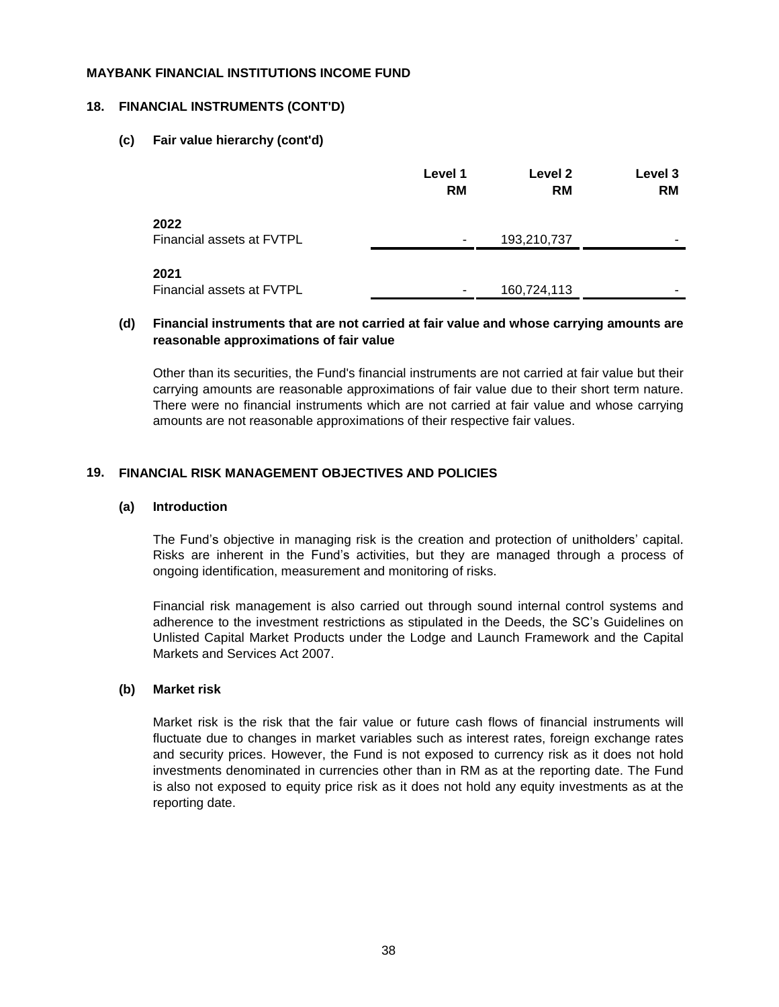#### **18. FINANCIAL INSTRUMENTS (CONT'D)**

#### **(c) Fair value hierarchy (cont'd)**

|                                   | Level 1<br><b>RM</b> | Level 2<br><b>RM</b> | Level 3<br><b>RM</b> |
|-----------------------------------|----------------------|----------------------|----------------------|
| 2022<br>Financial assets at FVTPL | ۰                    | 193,210,737          | -                    |
| 2021<br>Financial assets at FVTPL | ۰                    | 160,724,113          | -                    |

#### **(d) Financial instruments that are not carried at fair value and whose carrying amounts are reasonable approximations of fair value**

Other than its securities, the Fund's financial instruments are not carried at fair value but their carrying amounts are reasonable approximations of fair value due to their short term nature. There were no financial instruments which are not carried at fair value and whose carrying amounts are not reasonable approximations of their respective fair values.

#### **19. FINANCIAL RISK MANAGEMENT OBJECTIVES AND POLICIES**

#### **(a) Introduction**

The Fund's objective in managing risk is the creation and protection of unitholders' capital. Risks are inherent in the Fund's activities, but they are managed through a process of ongoing identification, measurement and monitoring of risks.

Financial risk management is also carried out through sound internal control systems and adherence to the investment restrictions as stipulated in the Deeds, the SC's Guidelines on Unlisted Capital Market Products under the Lodge and Launch Framework and the Capital Markets and Services Act 2007.

#### **(b) Market risk**

Market risk is the risk that the fair value or future cash flows of financial instruments will fluctuate due to changes in market variables such as interest rates, foreign exchange rates and security prices. However, the Fund is not exposed to currency risk as it does not hold investments denominated in currencies other than in RM as at the reporting date. The Fund is also not exposed to equity price risk as it does not hold any equity investments as at the reporting date.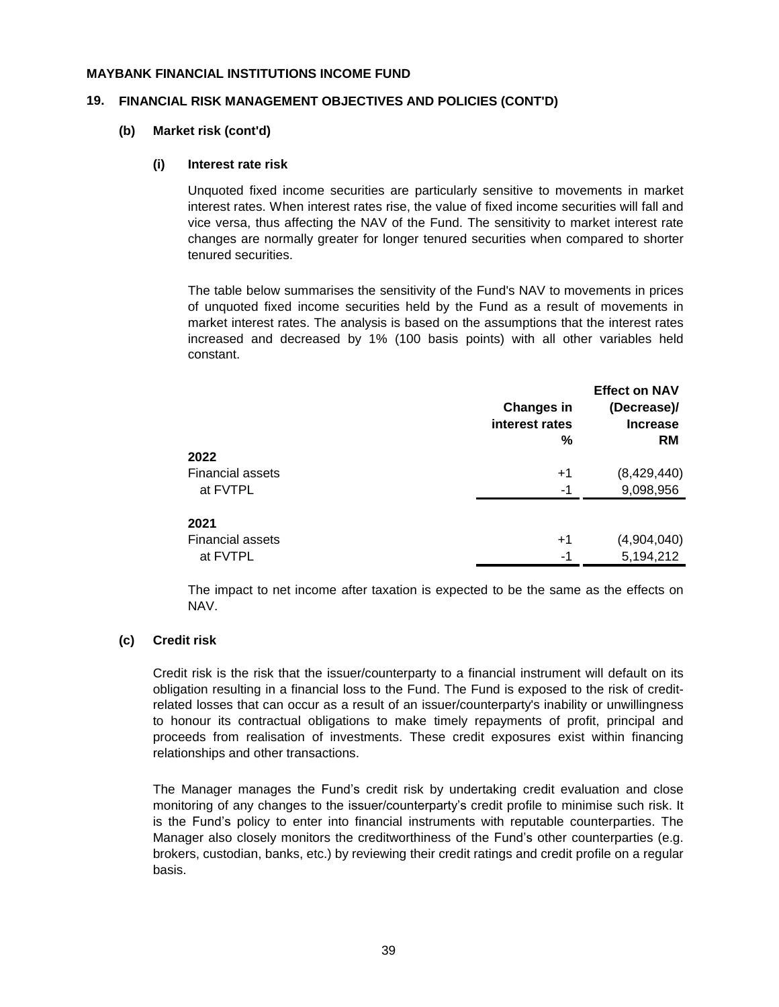#### **19. FINANCIAL RISK MANAGEMENT OBJECTIVES AND POLICIES (CONT'D)**

#### **(b) Market risk (cont'd)**

#### **(i) Interest rate risk**

Unquoted fixed income securities are particularly sensitive to movements in market interest rates. When interest rates rise, the value of fixed income securities will fall and vice versa, thus affecting the NAV of the Fund. The sensitivity to market interest rate changes are normally greater for longer tenured securities when compared to shorter tenured securities.

The table below summarises the sensitivity of the Fund's NAV to movements in prices of unquoted fixed income securities held by the Fund as a result of movements in market interest rates. The analysis is based on the assumptions that the interest rates increased and decreased by 1% (100 basis points) with all other variables held constant.

|                         | <b>Changes in</b><br>interest rates<br>$\%$ | <b>Effect on NAV</b><br>(Decrease)/<br><b>Increase</b><br><b>RM</b> |
|-------------------------|---------------------------------------------|---------------------------------------------------------------------|
| 2022                    |                                             |                                                                     |
| <b>Financial assets</b> | $+1$                                        | (8,429,440)                                                         |
| at FVTPL                | -1                                          | 9,098,956                                                           |
| 2021                    |                                             |                                                                     |
| <b>Financial assets</b> | $+1$                                        | (4,904,040)                                                         |
| at FVTPL                | -1                                          | 5,194,212                                                           |

The impact to net income after taxation is expected to be the same as the effects on NAV.

#### **(c) Credit risk**

Credit risk is the risk that the issuer/counterparty to a financial instrument will default on its obligation resulting in a financial loss to the Fund. The Fund is exposed to the risk of creditrelated losses that can occur as a result of an issuer/counterparty's inability or unwillingness to honour its contractual obligations to make timely repayments of profit, principal and proceeds from realisation of investments. These credit exposures exist within financing relationships and other transactions.

The Manager manages the Fund's credit risk by undertaking credit evaluation and close monitoring of any changes to the issuer/counterparty's credit profile to minimise such risk. It is the Fund's policy to enter into financial instruments with reputable counterparties. The Manager also closely monitors the creditworthiness of the Fund's other counterparties (e.g. brokers, custodian, banks, etc.) by reviewing their credit ratings and credit profile on a regular basis.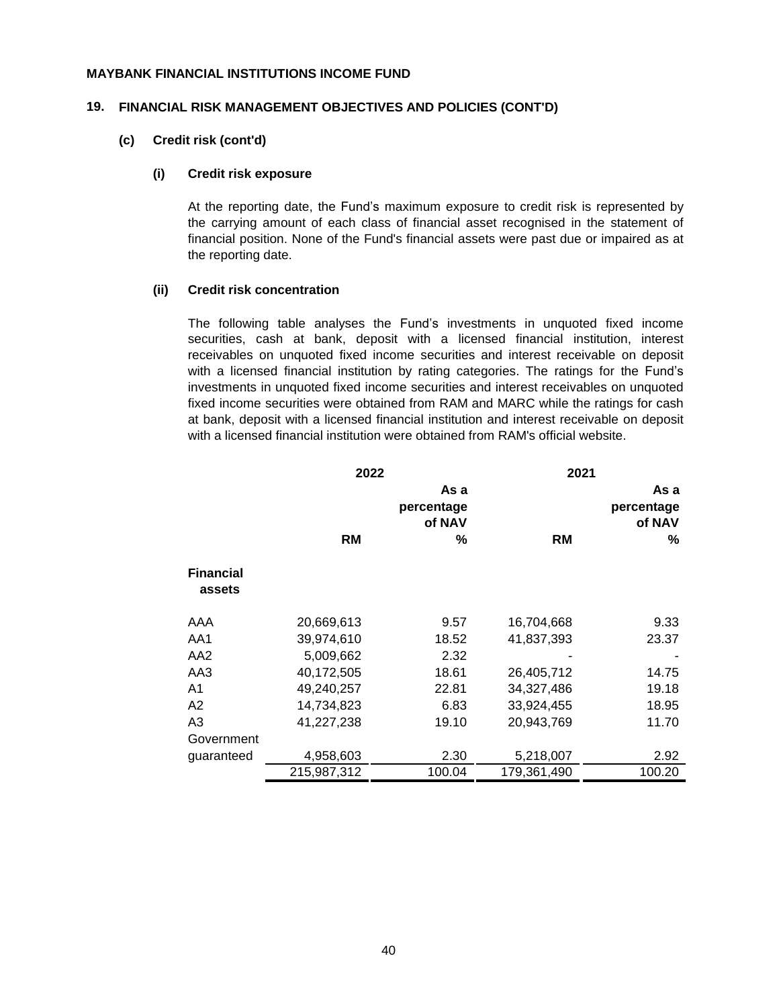#### **19. FINANCIAL RISK MANAGEMENT OBJECTIVES AND POLICIES (CONT'D)**

#### **(c) Credit risk (cont'd)**

#### **(i) Credit risk exposure**

At the reporting date, the Fund's maximum exposure to credit risk is represented by the carrying amount of each class of financial asset recognised in the statement of financial position. None of the Fund's financial assets were past due or impaired as at the reporting date.

#### **(ii) Credit risk concentration**

The following table analyses the Fund's investments in unquoted fixed income securities, cash at bank, deposit with a licensed financial institution, interest receivables on unquoted fixed income securities and interest receivable on deposit with a licensed financial institution by rating categories. The ratings for the Fund's investments in unquoted fixed income securities and interest receivables on unquoted fixed income securities were obtained from RAM and MARC while the ratings for cash at bank, deposit with a licensed financial institution and interest receivable on deposit with a licensed financial institution were obtained from RAM's official website.

|                            | 2022        |                              | 2021        |                              |
|----------------------------|-------------|------------------------------|-------------|------------------------------|
|                            |             | As a<br>percentage<br>of NAV |             | As a<br>percentage<br>of NAV |
|                            | RM          | ℅                            | <b>RM</b>   | ℅                            |
| <b>Financial</b><br>assets |             |                              |             |                              |
| AAA                        | 20,669,613  | 9.57                         | 16,704,668  | 9.33                         |
| AA1                        | 39,974,610  | 18.52                        | 41,837,393  | 23.37                        |
| AA <sub>2</sub>            | 5,009,662   | 2.32                         |             |                              |
| AA3                        | 40,172,505  | 18.61                        | 26,405,712  | 14.75                        |
| A <sub>1</sub>             | 49,240,257  | 22.81                        | 34,327,486  | 19.18                        |
| A2                         | 14,734,823  | 6.83                         | 33,924,455  | 18.95                        |
| A3                         | 41,227,238  | 19.10                        | 20,943,769  | 11.70                        |
| Government                 |             |                              |             |                              |
| guaranteed                 | 4,958,603   | 2.30                         | 5,218,007   | 2.92                         |
|                            | 215,987,312 | 100.04                       | 179,361,490 | 100.20                       |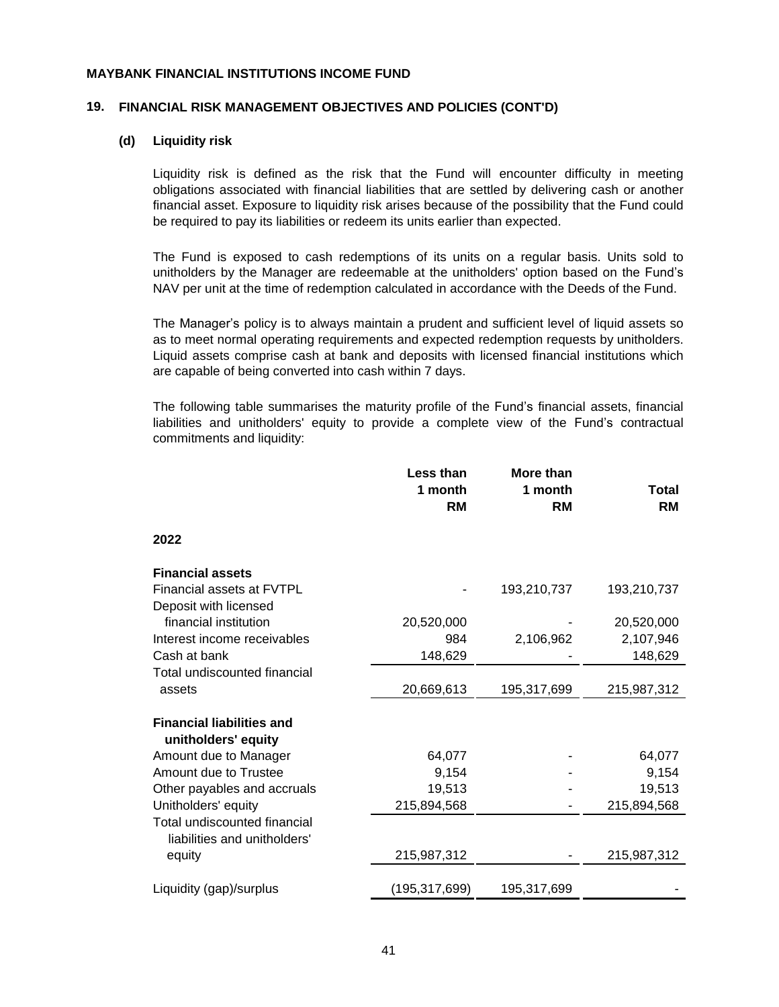#### **19. FINANCIAL RISK MANAGEMENT OBJECTIVES AND POLICIES (CONT'D)**

#### **(d) Liquidity risk**

Liquidity risk is defined as the risk that the Fund will encounter difficulty in meeting obligations associated with financial liabilities that are settled by delivering cash or another financial asset. Exposure to liquidity risk arises because of the possibility that the Fund could be required to pay its liabilities or redeem its units earlier than expected.

The Fund is exposed to cash redemptions of its units on a regular basis. Units sold to unitholders by the Manager are redeemable at the unitholders' option based on the Fund's NAV per unit at the time of redemption calculated in accordance with the Deeds of the Fund.

The Manager's policy is to always maintain a prudent and sufficient level of liquid assets so as to meet normal operating requirements and expected redemption requests by unitholders. Liquid assets comprise cash at bank and deposits with licensed financial institutions which are capable of being converted into cash within 7 days.

The following table summarises the maturity profile of the Fund's financial assets, financial liabilities and unitholders' equity to provide a complete view of the Fund's contractual commitments and liquidity:

|                                                              | Less than<br>1 month | More than<br>1 month | <b>Total</b> |
|--------------------------------------------------------------|----------------------|----------------------|--------------|
|                                                              | <b>RM</b>            | <b>RM</b>            | <b>RM</b>    |
| 2022                                                         |                      |                      |              |
| <b>Financial assets</b>                                      |                      |                      |              |
| Financial assets at FVTPL                                    |                      | 193,210,737          | 193,210,737  |
| Deposit with licensed                                        |                      |                      |              |
| financial institution                                        | 20,520,000           |                      | 20,520,000   |
| Interest income receivables                                  | 984                  | 2,106,962            | 2,107,946    |
| Cash at bank                                                 | 148,629              |                      | 148,629      |
| Total undiscounted financial                                 |                      |                      |              |
| assets                                                       | 20,669,613           | 195,317,699          | 215,987,312  |
| <b>Financial liabilities and</b>                             |                      |                      |              |
| unitholders' equity                                          |                      |                      |              |
| Amount due to Manager                                        | 64,077               |                      | 64,077       |
| Amount due to Trustee                                        | 9,154                |                      | 9,154        |
| Other payables and accruals                                  | 19,513               |                      | 19,513       |
| Unitholders' equity                                          | 215,894,568          |                      | 215,894,568  |
| Total undiscounted financial<br>liabilities and unitholders' |                      |                      |              |
| equity                                                       | 215,987,312          |                      | 215,987,312  |
| Liquidity (gap)/surplus                                      | (195, 317, 699)      | 195,317,699          |              |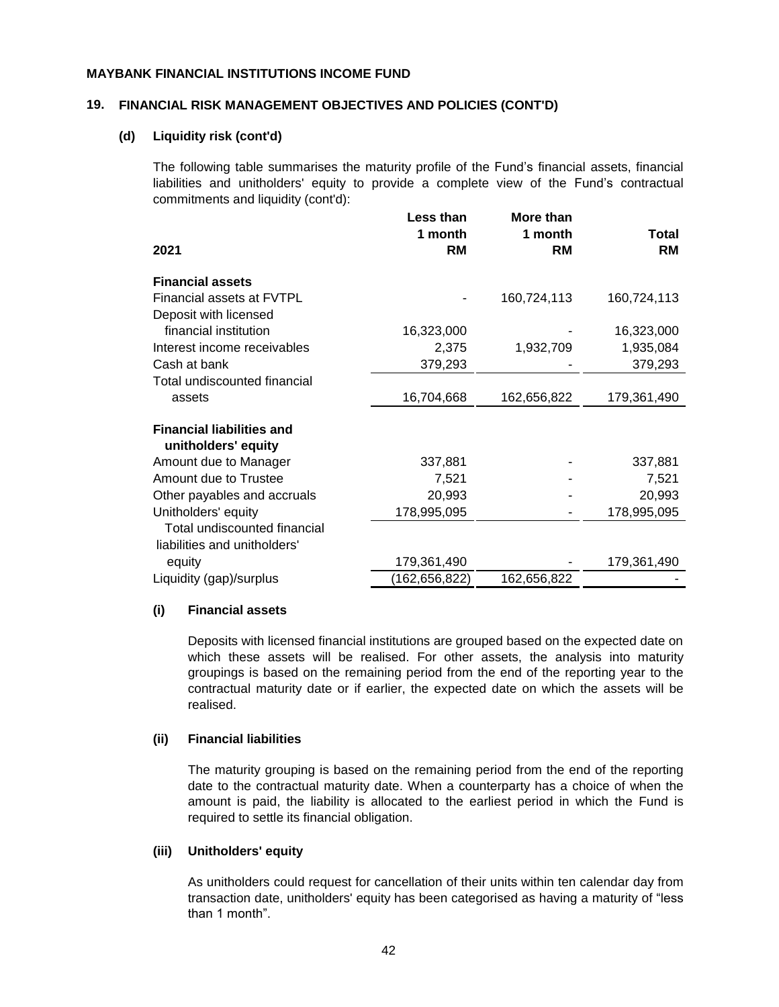#### **19. FINANCIAL RISK MANAGEMENT OBJECTIVES AND POLICIES (CONT'D)**

#### **(d) Liquidity risk (cont'd)**

The following table summarises the maturity profile of the Fund's financial assets, financial liabilities and unitholders' equity to provide a complete view of the Fund's contractual commitments and liquidity (cont'd):

|                                                              | Less than<br>1 month | More than<br>1 month | <b>Total</b> |
|--------------------------------------------------------------|----------------------|----------------------|--------------|
| 2021                                                         | <b>RM</b>            | <b>RM</b>            | RM           |
| <b>Financial assets</b>                                      |                      |                      |              |
| Financial assets at FVTPL                                    |                      | 160,724,113          | 160,724,113  |
| Deposit with licensed                                        |                      |                      |              |
| financial institution                                        | 16,323,000           |                      | 16,323,000   |
| Interest income receivables                                  | 2,375                | 1,932,709            | 1,935,084    |
| Cash at bank                                                 | 379,293              |                      | 379,293      |
| Total undiscounted financial                                 |                      |                      |              |
| assets                                                       | 16,704,668           | 162,656,822          | 179,361,490  |
| <b>Financial liabilities and</b><br>unitholders' equity      |                      |                      |              |
| Amount due to Manager                                        | 337,881              |                      | 337,881      |
| Amount due to Trustee                                        | 7,521                |                      | 7,521        |
| Other payables and accruals                                  | 20,993               |                      | 20,993       |
| Unitholders' equity                                          | 178,995,095          |                      | 178,995,095  |
| Total undiscounted financial<br>liabilities and unitholders' |                      |                      |              |
| equity                                                       | 179,361,490          |                      | 179,361,490  |
| Liquidity (gap)/surplus                                      | (162,656,822)        | 162,656,822          |              |

#### **(i) Financial assets**

Deposits with licensed financial institutions are grouped based on the expected date on which these assets will be realised. For other assets, the analysis into maturity groupings is based on the remaining period from the end of the reporting year to the contractual maturity date or if earlier, the expected date on which the assets will be realised.

#### **(ii) Financial liabilities**

The maturity grouping is based on the remaining period from the end of the reporting date to the contractual maturity date. When a counterparty has a choice of when the amount is paid, the liability is allocated to the earliest period in which the Fund is required to settle its financial obligation.

#### **(iii) Unitholders' equity**

As unitholders could request for cancellation of their units within ten calendar day from transaction date, unitholders' equity has been categorised as having a maturity of "less than 1 month".